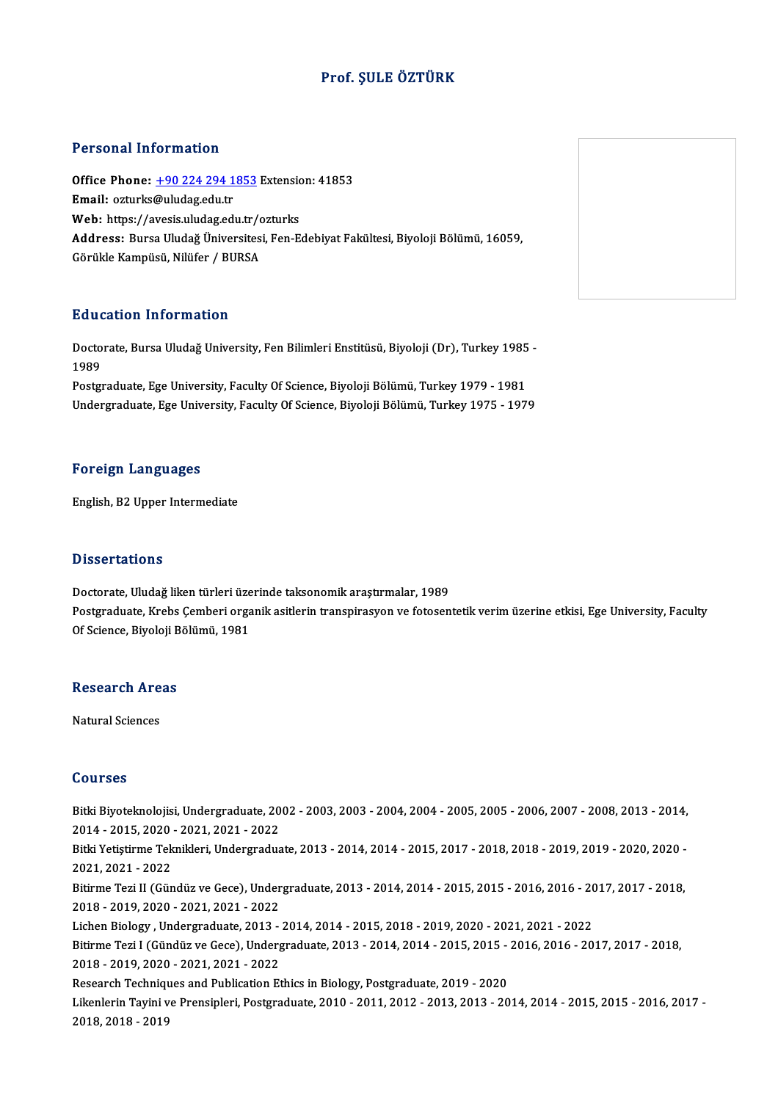### Prof. ŞULE ÖZTÜRK

#### Personal Information

Personal Information<br>Office Phone: <u>+90 224 294 1853</u> Extension: 41853<br>Email: esturks@uludes.edu.tr 1 STSSMATHISTMARISH<br>Office Phone: <u>+90 224 294 1</u><br>Email: ozturks[@uludag.edu.tr](tel:+90 224 294 1853) Office Phone: <u>+90 224 294 1853</u> Extension<br>Email: ozturks@uludag.edu.tr<br>Web: https://avesis.uludag.edu.tr/ozturks Email: ozturks@uludag.edu.tr<br>Web: https://avesis.uludag.edu.tr/ozturks<br>Address: Bursa Uludağ Üniversitesi, Fen-Edebiyat Fakültesi, Biyoloji Bölümü, 16059,<br>Görükle Kampüsü, Nilüfer / BURSA Web: https://avesis.uludag.edu.tr/ozturks

#### Education Information

**Education Information**<br>Doctorate, Bursa Uludağ University, Fen Bilimleri Enstitüsü, Biyoloji (Dr), Turkey 1985 -<br>1989 Huut<br>Docto<br>1989<br><sup>Doctor</sup> 1989<br>Postgraduate, Ege University, Faculty Of Science, Biyoloji Bölümü, Turkey 1979 - 1981

Undergraduate, Ege University, Faculty Of Science, Biyoloji Bölümü, Turkey 1975 - 1979

#### Foreign Languages

English, B2 Upper Intermediate

#### **Dissertations**

Dissertations<br>Doctorate, Uludağ liken türleri üzerinde taksonomik araştırmalar, 1989<br>Postsraduate, Krebs Cemberi araşılık esitlerin transpirasyon ve fetesen Postgraduate, Krebs Çemberi organik asitlerin transpirasyon ve fotosentetik verim üzerine etkisi, Ege University, Faculty<br>Of Science, Biyoloji Bölümü, 1981 Doctorate, Uludağ liken türleri üze<br>Postgraduate, Krebs Çemberi orga<br>Of Science, Biyoloji Bölümü, 1981

## or science, віуоюјі в ${\sf Research~Areas}$ <mark>Research Are</mark><br>Natural Sciences

Natural Sciences<br>Courses

Courses<br>Bitki Biyoteknolojisi, Undergraduate, 2002 - 2003, 2003 - 2004, 2004 - 2005, 2005 - 2006, 2007 - 2008, 2013 - 2014,<br>2014 - 2015, 2020, ...2021, ...2022 2021<br>2014 - Biyoteknolojisi, Undergraduate, 20<br>2014 - 2015, 2020 - 2021, 2021 - 2022<br>Pitki Vetistirme Teknikleri, Undergradua Bitki Biyoteknolojisi, Undergraduate, 2002 - 2003, 2003 - 2004, 2004 - 2005, 2005 - 2006, 2007 - 2008, 2013 - 2014,<br>2014 - 2015, 2020 - 2021, 2021 - 2022<br>Bitki Yetiştirme Teknikleri, Undergraduate, 2013 - 2014, 2014 - 2015 2014 - 2015, 2020<br>Bitki Yetiştirme Tek<br>2021, 2021 - 2022<br>Bitirme Tegi II (Gün Bitki Yetiştirme Teknikleri, Undergraduate, 2013 - 2014, 2014 - 2015, 2017 - 2018, 2018 - 2019, 2019 - 2020, 2020 -<br>2021, 2021 - 2022<br>Bitirme Tezi II (Gündüz ve Gece), Undergraduate, 2013 - 2014, 2014 - 2015, 2015 - 2016, 2021, 2021 - 2022<br>Bitirme Tezi II (Gündüz ve Gece), Undergraduate, 2013 - 2014, 2014 - 2015, 2015 - 2016, 2016 - 2017, 2017 - 2018,<br>2018 - 2019, 2020 - 2021, 2021 - 2022 Bitirme Tezi II (Gündüz ve Gece), Undergraduate, 2013 - 2014, 2014 - 2015, 2015 - 2016, 2016 - 20<br>2018 - 2019, 2020 - 2021, 2021 - 2022<br>Lichen Biology , Undergraduate, 2013 - 2014, 2014 - 2015, 2018 - 2019, 2020 - 2021, 20 2018 - 2019, 2020 - 2021, 2021 - 2022<br>Lichen Biology , Undergraduate, 2013 - 2014, 2014 - 2015, 2018 - 2019, 2020 - 2021, 2021 - 2022<br>Bitirme Tezi I (Gündüz ve Gece), Undergraduate, 2013 - 2014, 2014 - 2015, 2015 - 2016, 2 Lichen Biology , Undergraduate, 2013 -<br>Bitirme Tezi I (Gündüz ve Gece), Underg<br>2018 - 2019, 2020 - 2021, 2021 - 2022<br>Besearsh Teshniques and Bublisation Et Bitirme Tezi I (Gündüz ve Gece), Undergraduate, 2013 - 2014, 2014 - 2015, 2015 -<br>2018 - 2019, 2020 - 2021, 2021 - 2022<br>Research Techniques and Publication Ethics in Biology, Postgraduate, 2019 - 2020<br>Likaplarin Tavini ve P 2018 - 2019, 2020 - 2021, 2021 - 2022<br>Research Techniques and Publication Ethics in Biology, Postgraduate, 2019 - 2020<br>Likenlerin Tayini ve Prensipleri, Postgraduate, 2010 - 2011, 2012 - 2013, 2013 - 2014, 2014 - 2015, 201 2018,2018 -2019

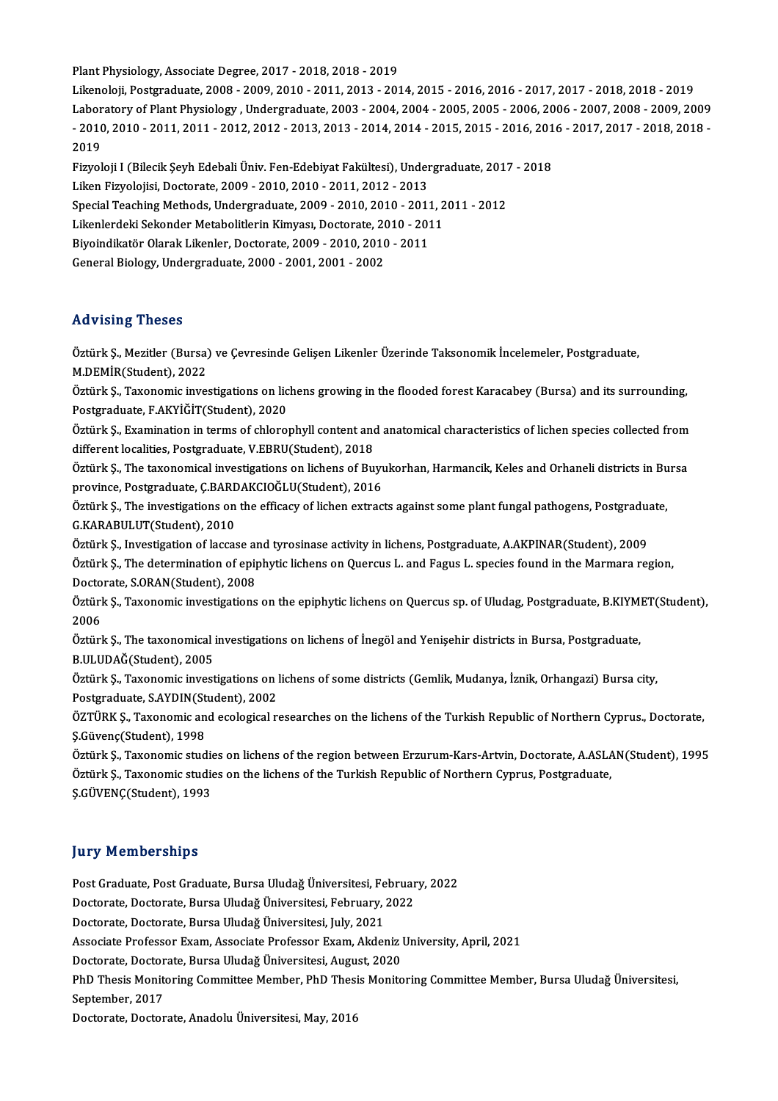Plant Physiology, Associate Degree, 2017 - 2018, 2018 - 2019

Likenoloji,Postgraduate,2008 -2009,2010 -2011,2013 -2014,2015 -2016,2016 -2017,2017 -2018,2018 -2019 Plant Physiology, Associate Degree, 2017 - 2018, 2018 - 2019<br>Likenoloji, Postgraduate, 2008 - 2009, 2010 - 2011, 2013 - 2014, 2015 - 2016, 2016 - 2017, 2017 - 2018, 2018 - 2019<br>Laboratory of Plant Physiology , Undergraduat Likenoloji, Postgraduate, 2008 - 2009, 2010 - 2011, 2013 - 2014, 2015 - 2016, 2016 - 2017, 2017 - 2018, 2018 - 2019<br>Laboratory of Plant Physiology , Undergraduate, 2003 - 2004, 2004 - 2005, 2005 - 2006, 2006 - 2007, 2008 -Labor<br>- 2010<br>2019<br>Eigyel Fiz010, 2010 - 2011, 2011 - 2012, 2012 - 2013, 2013 - 2014, 2014 - 2015, 2015 - 2016, 2016 - 2017, 2017 - 2018, 2018<br>2019

Liken Fizyolojisi, Doctorate, 2009 - 2010, 2010 - 2011, 2012 - 2013<br>Special Teaching Methods, Undergraduate, 2009 - 2010, 2010 - 2011, 2011 - 2012 Fizyoloji I (Bilecik Şeyh Edebali Üniv. Fen-Edebiyat Fakültesi), Undergraduate, 2017 - 2018 Liken Fizyolojisi, Doctorate, 2009 - 2010, 2010 - 2011, 2012 - 2013<br>Special Teaching Methods, Undergraduate, 2009 - 2010, 2010 - 2011, 2<br>Likenlerdeki Sekonder Metabolitlerin Kimyası, Doctorate, 2010 - 2011<br>Biyoindikatër Ol Special Teaching Methods, Undergraduate, 2009 - 2010, 2010 - 2011<br>Likenlerdeki Sekonder Metabolitlerin Kimyası, Doctorate, 2010 - 201<br>Biyoindikatör Olarak Likenler, Doctorate, 2009 - 2010, 2010 - 2011<br>Coneral Biology, Unde Likenlerdeki Sekonder Metabolitlerin Kimyası, Doctorate, 20<br>Biyoindikatör Olarak Likenler, Doctorate, 2009 - 2010, 2010<br>General Biology, Undergraduate, 2000 - 2001, 2001 - 2002 General Biology, Undergraduate, 2000 - 2001, 2001 - 2002<br>Advising Theses

Advising Theses<br>Öztürk Ş., Mezitler (Bursa) ve Çevresinde Gelişen Likenler Üzerinde Taksonomik İncelemeler, Postgraduate,<br>M.DEMİR(Student), 2022 Mavising Theses<br>Öztürk Ş., Mezitler (Bursa)<br>M.DEMİR(Student), 2022<br>Öztürk S., Tavanamis inves Öztürk Ş., Mezitler (Bursa) ve Çevresinde Gelişen Likenler Üzerinde Taksonomik İncelemeler, Postgraduate,<br>M.DEMİR(Student), 2022<br>Öztürk Ş., Taxonomic investigations on lichens growing in the flooded forest Karacabey (Bursa

M.DEMİR(Student), 2022<br>Öztürk Ş., Taxonomic investigations on lic<br>Postgraduate, F.AKYİĞİT(Student), 2020<br>Öztürk S., Evemination in terme of shlane Öztürk Ş., Taxonomic investigations on lichens growing in the flooded forest Karacabey (Bursa) and its surrounding,<br>Postgraduate, F.AKYİĞİT(Student), 2020<br>Öztürk Ş., Examination in terms of chlorophyll content and anatomic

Postgraduate, F.AKYİĞİT(Student), 2020<br>Öztürk Ş., Examination in terms of chlorophyll content and<br>different localities, Postgraduate, V.EBRU(Student), 2018<br>Öztürk S., The taxonomical investigations on lichans of Bu Öztürk Ş., Examination in terms of chlorophyll content and anatomical characteristics of lichen species collected from<br>different localities, Postgraduate, V.EBRU(Student), 2018<br>Öztürk Ş., The taxonomical investigations on

different localities, Postgraduate, V.EBRU(Student), 2018<br>Öztürk Ş., The taxonomical investigations on lichens of Buyukorhan, Harmancik, Keles and Orhaneli districts in Bursa<br>province, Postgraduate, Ç.BARDAKCIOĞLU(Student) Öztürk Ş., The taxonomical investigations on lichens of Buyukorhan, Harmancik, Keles and Orhaneli districts in Bu<br>province, Postgraduate, Ç.BARDAKCIOĞLU(Student), 2016<br>Öztürk Ş., The investigations on the efficacy of liche

province, Postgraduate, Ç.BARD<br>Öztürk Ş., The investigations on<br>G.KARABULUT(Student), 2010<br>Öztürk S., Investigation of lasses Öztürk Ş., The investigations on the efficacy of lichen extracts against some plant fungal pathogens, Postgradua<br>G.KARABULUT(Student), 2010<br>Öztürk Ş., Investigation of laccase and tyrosinase activity in lichens, Postgradua

G.KARABULUT(Student), 2010<br>Öztürk Ş., Investigation of laccase and tyrosinase activity in lichens, Postgraduate, A.AKPINAR(Student), 2009<br>Öztürk Ş., The determination of epiphytic lichens on Quercus L. and Fagus L. species Öztürk Ş., Investigation of laccase an<br>Öztürk Ş., The determination of epip<br>Doctorate, S.ORAN(Student), 2008<br>Öztürk S., Tavonomis investigations Öztürk Ş., The determination of epiphytic lichens on Quercus L. and Fagus L. species found in the Marmara region,<br>Doctorate, S.ORAN(Student), 2008<br>Öztürk Ş., Taxonomic investigations on the epiphytic lichens on Quercus sp.

Docto<br>Öztürl<br>2006<br>Öztürl Öztürk Ş., Taxonomic investigations on the epiphytic lichens on Quercus sp. of Uludag, Postgraduate, B.KIYM!<br>2006<br>Öztürk Ş., The taxonomical investigations on lichens of İnegöl and Yenişehir districts in Bursa, Postgraduat

2006<br>Öztürk Ş., The taxonomical investigations on lichens of İnegöl and Yenişehir districts in Bursa, Postgraduate,<br>B.ULUDAĞ(Student), 2005 Öztürk Ş., The taxonomical investigations on lichens of İnegöl and Yenişehir districts in Bursa, Postgraduate,<br>B.ULUDAĞ(Student), 2005<br>Öztürk Ş., Taxonomic investigations on lichens of some districts (Gemlik, Mudanya, İzni

B.ULUDAĞ(Student), 2005<br>Öztürk Ş., Taxonomic investigations on ]<br>Postgraduate, S.AYDIN(Student), 2002<br>ÖZTÜPK S. Taxonomis and esclasisel r Öztürk Ş., Taxonomic investigations on lichens of some districts (Gemlik, Mudanya, İznik, Orhangazi) Bursa city,<br>Postgraduate, S.AYDIN(Student), 2002<br>ÖZTÜRK Ş., Taxonomic and ecological researches on the lichens of the Tur

Postgraduate, S.AYDIN(St<br>ÖZTÜRK Ş., Taxonomic an<br>Ş.Güvenç(Student), 1998<br>Öztürk S., Taxonomic stud ÖZTÜRK Ş., Taxonomic and ecological researches on the lichens of the Turkish Republic of Northern Cyprus., Doctorate,<br>Ş.Güvenç(Student), 1998<br>Öztürk Ş., Taxonomic studies on lichens of the region between Erzurum-Kars-Artvi

Ş.Güvenç(Student), 1998<br>Öztürk Ş., Taxonomic studies on lichens of the region between Erzurum-Kars-Artvin, Doctorate, A.ASLAN(Student), 1995<br>Öztürk Ş., Taxonomic studies on the lichens of the Turkish Republic of Northern C Ş.GÜVENÇ(Student),1993

#### **Jury Memberships**

Post Graduate, Post Graduate, Bursa Uludağ Üniversitesi, February, 2022 Doctorate, Doctorate, Bursa Uludağ Üniversitesi, February, 2022 Post Graduate, Post Graduate, Bursa Uludağ Üniversitesi, Fe<br>Doctorate, Doctorate, Bursa Uludağ Üniversitesi, February, J<br>Doctorate, Doctorate, Bursa Uludağ Üniversitesi, July, 2021<br>Assesiste Prefessor Fuam, Assesiste Prefe Associate Professor Exam, Associate Professor Exam, Akdeniz University, April, 2021 Doctorate, Doctorate, Bursa Uludağ Üniversitesi, July, 2021<br>Associate Professor Exam, Associate Professor Exam, Akdeniz I<br>Doctorate, Doctorate, Bursa Uludağ Üniversitesi, August, 2020<br>PhD Thesis Monitoring Committee Member Associate Professor Exam, Associate Professor Exam, Akdeniz University, April, 2021<br>Doctorate, Doctorate, Bursa Uludağ Üniversitesi, August, 2020<br>PhD Thesis Monitoring Committee Member, PhD Thesis Monitoring Committee Memb Doctorate, Doctorate, Bursa Uludağ Üniversitesi, August, 2020<br>PhD Thesis Monitoring Committee Member, PhD Thesis Monito<br>September, 2017<br>Doctorate, Doctorate, Anadolu Üniversitesi, May, 2016 PhD Thesis Monitoring Committee Member, PhD Thesi<br>September, 2017<br>Doctorate, Doctorate, Anadolu Üniversitesi, May, 2016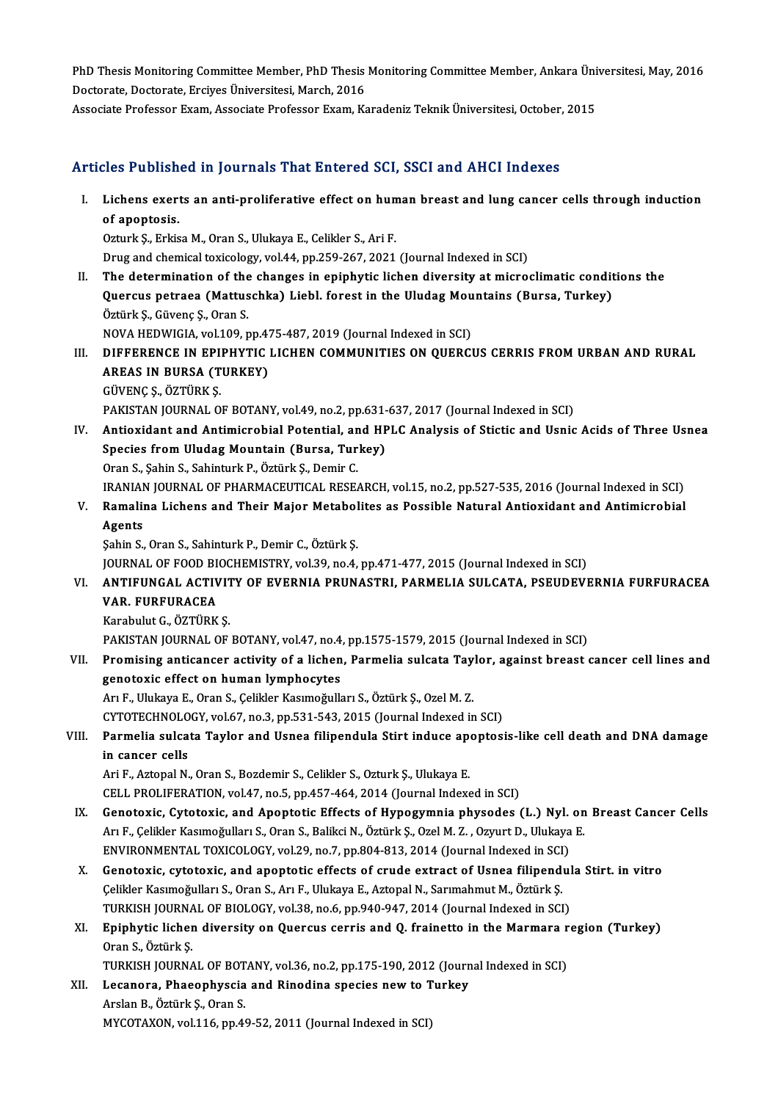PhD Thesis Monitoring Committee Member, PhD Thesis Monitoring Committee Member, Ankara Üniversitesi, May, 2016<br>Pestarata Pestarata Ensives Üniversitesi Marsh 2016 PhD Thesis Monitoring Committee Member, PhD Thesis<br>Doctorate, Doctorate, Erciyes Üniversitesi, March, 2016<br>Assesiste Prefessor Evam, Assesiste Prefessor Evam, K PhD Thesis Monitoring Committee Member, PhD Thesis Monitoring Committee Member, Ankara Üni<br>Doctorate, Doctorate, Erciyes Üniversitesi, March, 2016<br>Associate Professor Exam, Associate Professor Exam, Karadeniz Teknik Üniver

# Associate Professor Exam, Associate Professor Exam, Karadeniz Teknik Üniversitesi, October, 2015<br>Articles Published in Journals That Entered SCI, SSCI and AHCI Indexes

rticles Published in Journals That Entered SCI, SSCI and AHCI Indexes<br>I. Lichens exerts an anti-proliferative effect on human breast and lung cancer cells through induction<br>of anontosis *Lichens exert*<br>Lichens exert<br>of apoptosis.<br>Ogturk S. Erkie Lichens exerts an anti-proliferative effect on hun<br>of apoptosis.<br>Ozturk Ş., Erkisa M., Oran S., Ulukaya E., Celikler S., Ari F.<br>Drug and chamical tavisalogy vol.44, np.359, 367, 3031.

of apoptosis.<br>Ozturk Ş., Erkisa M., Oran S., Ulukaya E., Celikler S., Ari F.<br>Drug and chemical toxicology, vol.44, pp.259-267, 2021 (Journal Indexed in SCI)

Ozturk Ş., Erkisa M., Oran S., Ulukaya E., Celikler S., Ari F.<br>Drug and chemical toxicology, vol.44, pp.259-267, 2021 (Journal Indexed in SCI)<br>II. The determination of the changes in epiphytic lichen diversity at microclim Drug and chemical toxicology, vol.44, pp.259-267, 2021 (Journal Indexed in SCI)<br>The determination of the changes in epiphytic lichen diversity at microclimatic condit<br>Quercus petraea (Mattuschka) Liebl. forest in the Uluda The determination of the<br>Quercus petraea (Mattus<br>Öztürk Ş., Güvenç Ş., Oran S.<br>NOVA HEDWICIA vel 100 r Quercus petraea (Mattuschka) Liebl. forest in the Uludag Mountains (Bursa, Turkey)<br>Öztürk Ş., Güvenç Ş., Oran S.<br>NOVA HEDWIGIA, vol.109, pp.475-487, 2019 (Journal Indexed in SCI)

- Öztürk Ş., Güvenç Ş., Oran S.<br>NOVA HEDWIGIA, vol.109, pp.475-487, 2019 (Journal Indexed in SCI)<br>III. DIFFERENCE IN EPIPHYTIC LICHEN COMMUNITIES ON QUERCUS CERRIS FROM URBAN AND RURAL<br>AREAS IN BURSA (TURKEY) NOVA HEDWIGIA, vol.109, pp.4.<br>DIFFERENCE IN EPIPHYTIC<br>AREAS IN BURSA (TURKEY)<br>CÜVENCS ÖZTÜRKS AREAS IN BURSA (TURKEY)<br>GÜVENÇ Ş., ÖZTÜRK Ş. AREAS IN BURSA (TURKEY)<br>GÜVENÇ Ş., ÖZTÜRK Ş.<br>PAKISTAN JOURNAL OF BOTANY, vol.49, no.2, pp.631-637, 2017 (Journal Indexed in SCI)<br>Antioxidant and Antimispobial Potential, and HPL G Analysis of Stistic and Henis GÜVENÇ Ș., ÖZTÜRK Ș.<br>PAKISTAN JOURNAL OF BOTANY, vol.49, no.2, pp.631-637, 2017 (Journal Indexed in SCI)<br>IV. Antioxidant and Antimicrobial Potential, and HPLC Analysis of Stictic and Usnic Acids of Three Usnea<br>Species
- PAKISTAN JOURNAL OF BOTANY, vol.49, no.2, pp.631-<br>Antioxidant and Antimicrobial Potential, and HP<br>Species from Uludag Mountain (Bursa, Turkey)<br>Oran S. Sabin S. Sabinturk B. Östürk S. Demir G. Antioxidant and Antimicrobial Potential, an<br>Species from Uludag Mountain (Bursa, Tur<br>Oran S., Şahin S., Sahinturk P., Öztürk Ş., Demir C.<br>IPANIAN JOUPNAL OF PHAPMACEUTICAL PESE. Species from Uludag Mountain (Bursa, Turkey)<br>Oran S., Şahin S., Sahinturk P., Öztürk Ş., Demir C.<br>IRANIAN JOURNAL OF PHARMACEUTICAL RESEARCH, vol.15, no.2, pp.527-535, 2016 (Journal Indexed in SCI)<br>Bamalina Lisbans and The Oran S., Şahin S., Sahinturk P., Öztürk Ş., Demir C.<br>IRANIAN JOURNAL OF PHARMACEUTICAL RESEARCH, vol.15, no.2, pp.527-535, 2016 (Journal Indexed in SCI)<br>V. Ramalina Lichens and Their Major Metabolites as Possible Natura
- IRANIAN<br><mark>Ramalii</mark><br>Agents<br>Sebin S Ramalina Lichens and Their Major Metabol<br>Agents<br>Şahin S., Oran S., Sahinturk P., Demir C., Öztürk Ş.<br>JOUPNAL OF FOOD PIOCHEMISTPV vol 39. no.4.

Agents<br>Şahin S., Oran S., Sahinturk P., Demir C., Öztürk Ş.<br>JOURNAL OF FOOD BIOCHEMISTRY, vol.39, no.4, pp.471-477, 2015 (Journal Indexed in SCI)<br>ANTIEUNCAL ACTIVITY OF EVERNIA PRUNASTRI, RARMELLA SULCATA, RSEUDEVI Şahin S., Oran S., Sahinturk P., Demir C., Öztürk Ş.<br>JOURNAL OF FOOD BIOCHEMISTRY, vol.39, no.4, pp.471-477, 2015 (Journal Indexed in SCI)<br>VI. ANTIFUNGAL ACTIVITY OF EVERNIA PRUNASTRI, PARMELIA SULCATA, PSEUDEVERNIA FU

JOURNAL OF FOOD BI<br><mark>ANTIFUNGAL ACTIV</mark><br>VAR. FURFURACEA<br>Karabulut G. ÖZTÜDK ANTIFUNGAL ACTIVI<mark>I</mark><br>VAR. FURFURACEA<br>Karabulut G., ÖZTÜRK Ş.<br>BAKISTAN JOUPNAL OF VAR. FURFURACEA<br>Karabulut G., ÖZTÜRK Ş.<br>PAKISTAN JOURNAL OF BOTANY, vol.47, no.4, pp.1575-1579, 2015 (Journal Indexed in SCI)<br>Promising antisansor astivity of a lisbon, Pormalia sulsata Taylor, assinst breast í

Karabulut G., ÖZTÜRK Ş.<br>PAKISTAN JOURNAL OF BOTANY, vol.47, no.4, pp.1575-1579, 2015 (Journal Indexed in SCI)<br>VII. Promising anticancer activity of a lichen, Parmelia sulcata Taylor, against breast cancer cell lines an PAKISTAN JOURNAL OF BOTANY, vol.47, no.4<br>Promising anticancer activity of a lichen<br>genotoxic effect on human lymphocytes Promising anticancer activity of a lichen, Parmelia sulcata Tay<br>genotoxic effect on human lymphocytes<br>Arı F., Ulukaya E., Oran S., Çelikler Kasımoğulları S., Öztürk Ş., Ozel M. Z.<br>CYTOTECUNOLOCY YRLÉZ no 2 np 521 542 2015

genotoxic effect on human lymphocytes<br>Arı F., Ulukaya E., Oran S., Çelikler Kasımoğulları S., Öztürk Ş., Ozel M. Z.<br>CYTOTECHNOLOGY, vol.67, no.3, pp.531-543, 2015 (Journal Indexed in SCI)<br>Parmalia sulatta Tavlar and Hanea

## Arı F., Ulukaya E., Oran S., Çelikler Kasımoğulları S., Öztürk Ş., Ozel M. Z.<br>CYTOTECHNOLOGY, vol.67, no.3, pp.531-543, 2015 (Journal Indexed in SCI)<br>VIII. Parmelia sulcata Taylor and Usnea filipendula Stirt induce apo CYTOTECHNOLO<br>Parmelia sulca<br>in cancer cells<br>Ari E. Aztonal N Parmelia sulcata Taylor and Usnea filipendula Stirt induce ape<br>in cancer cells<br>Ari F., Aztopal N., Oran S., Bozdemir S., Celikler S., Ozturk Ş., Ulukaya E.<br>CELL PROLIEERATION vol.47 no 5 nn.457,464,2014 (Journal Indov

in cancer cells<br>Ari F., Aztopal N., Oran S., Bozdemir S., Celikler S., Ozturk Ş., Ulukaya E.<br>CELL PROLIFERATION, vol.47, no.5, pp.457-464, 2014 (Journal Indexed in SCI)

- IX. Genotoxic, Cytotoxic, and Apoptotic Effects of Hypogymnia physodes (L.) Nyl. on Breast Cancer Cells CELL PROLIFERATION, vol.47, no.5, pp.457-464, 2014 (Journal Indexed in SCI)<br>Genotoxic, Cytotoxic, and Apoptotic Effects of Hypogymnia physodes (L.) Nyl. on<br>Arı F., Çelikler Kasımoğulları S., Oran S., Balikci N., Öztürk Ş., Genotoxic, Cytotoxic, and Apoptotic Effects of Hypogymnia physodes (L.) Nyl.<br>Arı F., Çelikler Kasımoğulları S., Oran S., Balikci N., Öztürk Ş., Ozel M. Z. , Ozyurt D., Ulukaya<br>ENVIRONMENTAL TOXICOLOGY, vol.29, no.7, pp.804 ENVIRONMENTAL TOXICOLOGY, vol.29, no.7, pp.804-813, 2014 (Journal Indexed in SCI)
- X. Genotoxic, cytotoxic, and apoptotic effects of crude extract of Usnea filipendula Stirt. in vitro Genotoxic, cytotoxic, and apoptotic effects of crude extract of Usnea filipendul<br>Çelikler Kasımoğulları S., Oran S., Arı F., Ulukaya E., Aztopal N., Sarımahmut M., Öztürk Ş.<br>TURKISH JOURNAL OF BIOLOGY, vol.38, no.6, pp.940
- XI. Epiphytic lichen diversity on Quercus cerris and Q. frainetto in the Marmara region (Turkey)<br>Oran S., Öztürk S. TURKISH JOURNA<br><mark>Epiphytic licher</mark><br>Oran S., Öztürk Ş.<br>TURKISH JOURNA Epiphytic lichen diversity on Quercus cerris and Q. frainetto in the Marmara r<br>Oran S., Öztürk Ş.<br>TURKISH JOURNAL OF BOTANY, vol.36, no.2, pp.175-190, 2012 (Journal Indexed in SCI)<br>Lesanora, Phasanhyasia and Binodine spesi

Oran S., Öztürk Ş.<br>TURKISH JOURNAL OF BOTANY, vol.36, no.2, pp.175-190, 2012 (Journ<br>XII. Lecanora, Phaeophyscia and Rinodina species new to Turkey TURKISH JOURNAL OF BOT<br>Lecanora, Phaeophyscia<br>Arslan B., Öztürk Ş., Oran S.<br>MYCOTAYON vol 116 nn 46 Lecanora, Phaeophyscia and Rinodina species new to T<br>Arslan B., Öztürk Ş., Oran S.<br>MYCOTAXON, vol.116, pp.49-52, 2011 (Journal Indexed in SCI)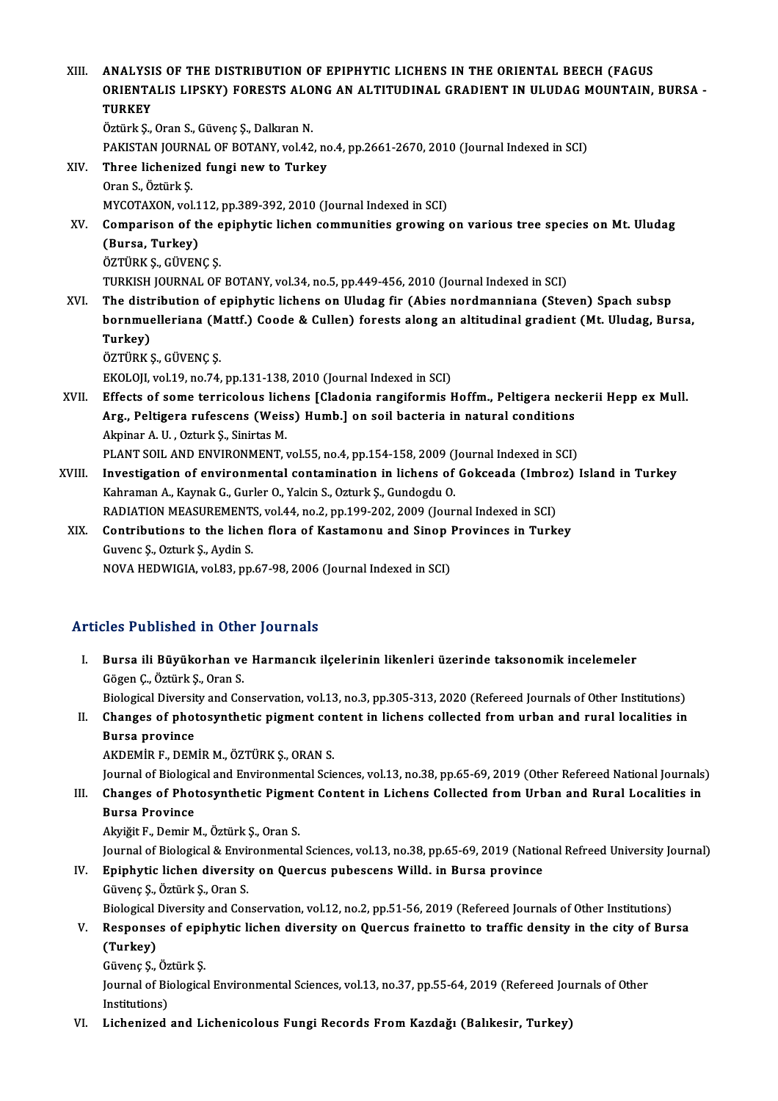| XIII.  | ANALYSIS OF THE DISTRIBUTION OF EPIPHYTIC LICHENS IN THE ORIENTAL BEECH (FAGUS<br>ORIENTALIS LIPSKY) FORESTS ALONG AN ALTITUDINAL GRADIENT IN ULUDAG MOUNTAIN, BURSA -<br><b>TURKEY</b> |
|--------|-----------------------------------------------------------------------------------------------------------------------------------------------------------------------------------------|
|        | Öztürk Ş., Oran S., Güvenç Ş., Dalkıran N.                                                                                                                                              |
|        | PAKISTAN JOURNAL OF BOTANY, vol.42, no.4, pp.2661-2670, 2010 (Journal Indexed in SCI)                                                                                                   |
| XIV.   | Three lichenized fungi new to Turkey                                                                                                                                                    |
|        | Oran S., Öztürk Ş.                                                                                                                                                                      |
|        | MYCOTAXON, vol.112, pp.389-392, 2010 (Journal Indexed in SCI)                                                                                                                           |
| XV.    | Comparison of the epiphytic lichen communities growing on various tree species on Mt. Uludag                                                                                            |
|        | (Bursa, Turkey)                                                                                                                                                                         |
|        | ÖZTÜRK Ş., GÜVENÇ Ş.                                                                                                                                                                    |
|        | TURKISH JOURNAL OF BOTANY, vol.34, no.5, pp.449-456, 2010 (Journal Indexed in SCI)                                                                                                      |
| XVI.   | The distribution of epiphytic lichens on Uludag fir (Abies nordmanniana (Steven) Spach subsp                                                                                            |
|        | bornmuelleriana (Mattf.) Coode & Cullen) forests along an altitudinal gradient (Mt. Uludag, Bursa,                                                                                      |
|        | Turkey)                                                                                                                                                                                 |
|        | ÖZTÜRK Ş., GÜVENÇ Ş.                                                                                                                                                                    |
|        | EKOLOJI, vol.19, no.74, pp.131-138, 2010 (Journal Indexed in SCI)                                                                                                                       |
| XVII.  | Effects of some terricolous lichens [Cladonia rangiformis Hoffm., Peltigera neckerii Hepp ex Mull.                                                                                      |
|        | Arg., Peltigera rufescens (Weiss) Humb.] on soil bacteria in natural conditions                                                                                                         |
|        | Akpinar A. U., Ozturk Ş., Sinirtas M.                                                                                                                                                   |
|        | PLANT SOIL AND ENVIRONMENT, vol.55, no.4, pp.154-158, 2009 (Journal Indexed in SCI)                                                                                                     |
| XVIII. | Investigation of environmental contamination in lichens of Gokceada (Imbroz) Island in Turkey                                                                                           |
|        | Kahraman A., Kaynak G., Gurler O., Yalcin S., Ozturk Ş., Gundogdu O.                                                                                                                    |
|        | RADIATION MEASUREMENTS, vol.44, no.2, pp.199-202, 2009 (Journal Indexed in SCI)                                                                                                         |
| XIX.   | Contributions to the lichen flora of Kastamonu and Sinop Provinces in Turkey                                                                                                            |
|        | Guvenc S., Ozturk S., Aydin S.                                                                                                                                                          |
|        | NOVA HEDWIGIA, vol.83, pp.67-98, 2006 (Journal Indexed in SCI)                                                                                                                          |
|        |                                                                                                                                                                                         |

# NOVA HEDWIGIA, vol.83, pp.67-98, 2006 (Jou<br>Articles Published in Other Journals

rticles Published in Other Journals<br>I. Bursa ili Büyükorhan ve Harmancık ilçelerinin likenleri üzerinde taksonomik incelemeler<br>Cögen Göttürk S. Oran S. Stes 1 denoncu in ocht<br>Bursa ili Büyükorhan ve<br>Gögen Ç., Öztürk Ş., Oran S.<br>Biologisal Diversity and Co Bursa ili Büyükorhan ve Harmancık ilçelerinin likenleri üzerinde taksonomik incelemeler<br>Gögen Ç., Öztürk Ş., Oran S.<br>Biological Diversity and Conservation, vol.13, no.3, pp.305-313, 2020 (Refereed Journals of Other Institu

Gögen Ç., Öztürk Ş., Oran S.<br>Biological Diversity and Conservation, vol.13, no.3, pp.305-313, 2020 (Refereed Journals of Other Institutions)<br>II. Changes of photosynthetic pigment content in lichens collected from urban and **Biological Diversit<br>Changes of phot<br>Bursa province<br>AKDEMID E. DEM** Changes of photosynthetic pigment cor<br>Bursa province<br>AKDEMİR F., DEMİR M., ÖZTÜRK Ş., ORAN S.<br>Journal of Biological and Environmental Scie

Bursa province<br>AKDEMİR F., DEMİR M., ÖZTÜRK Ş., ORAN S.<br>Journal of Biological and Environmental Sciences, vol.13, no.38, pp.65-69, 2019 (Other Refereed National Journals)

AKDEMİR F., DEMİR M., ÖZTÜRK Ş., ORAN S.<br>Journal of Biological and Environmental Sciences, vol.13, no.38, pp.65-69, 2019 (Other Refereed National Journals<br>III. Changes of Photosynthetic Pigment Content in Lichens Collected **Journal of Biologie<br>Changes of Phot<br>Bursa Province<br>Alvičit E. Domin A** Changes of Photosynthetic Pigme<br>Bursa Province<br>Akyiğit F., Demir M., Öztürk Ş., Oran S.<br>Journal of Piologiaal & Environmental Bursa Province<br>Akyiğit F., Demir M., Öztürk Ş., Oran S.<br>Journal of Biological & Environmental Sciences, vol.13, no.38, pp.65-69, 2019 (National Refreed University Journal)<br>Eninhytia lishen diversity on Quensus pubessens Wi

## Akyiğit F., Demir M., Öztürk Ş., Oran S.<br>Journal of Biological & Environmental Sciences, vol.13, no.38, pp.65-69, 2019 (Natio<br>IV. Epiphytic lichen diversity on Quercus pubescens Willd. in Bursa province<br>Güyana S. Östürk S. Journal of Biological & Envi<br><mark>Epiphytic lichen diversit</mark><br>Güvenç Ş., Öztürk Ş., Oran S.<br>Biological Diversity and Con Epiphytic lichen diversity on Quercus pubescens Willd. in Bursa province<br>Güvenç Ş., Öztürk Ş., Oran S.<br>Biological Diversity and Conservation, vol.12, no.2, pp.51-56, 2019 (Refereed Journals of Other Institutions)<br>Bespenses Güvenç Ş., Öztürk Ş., Oran S.<br>Biological Diversity and Conservation, vol.12, no.2, pp.51-56, 2019 (Refereed Journals of Other Institutions)<br>V. Responses of epiphytic lichen diversity on Quercus frainetto to traffic density

## Biological<br>Response<br>(Turkey)<br>Güyene S V. Responses of epiphytic lichen diversity on Quercus frainetto to traffic density in the city of Bursa<br>(Turkey)<br>Güvenç Ş., Öztürk Ş.

(Turkey)<br>Güvenç Ş., Öztürk Ş.<br>Journal of Biological Environmental Sciences, vol.13, no.37, pp.55-64, 2019 (Refereed Journals of Other<br>Institutione) Güvenç Ş., Öz<br>Journal of Bio<br>Institutions)<br>Lishanirad

VI. Lichenized and Lichenicolous Fungi Records FromKazdağı (Balıkesir, Turkey)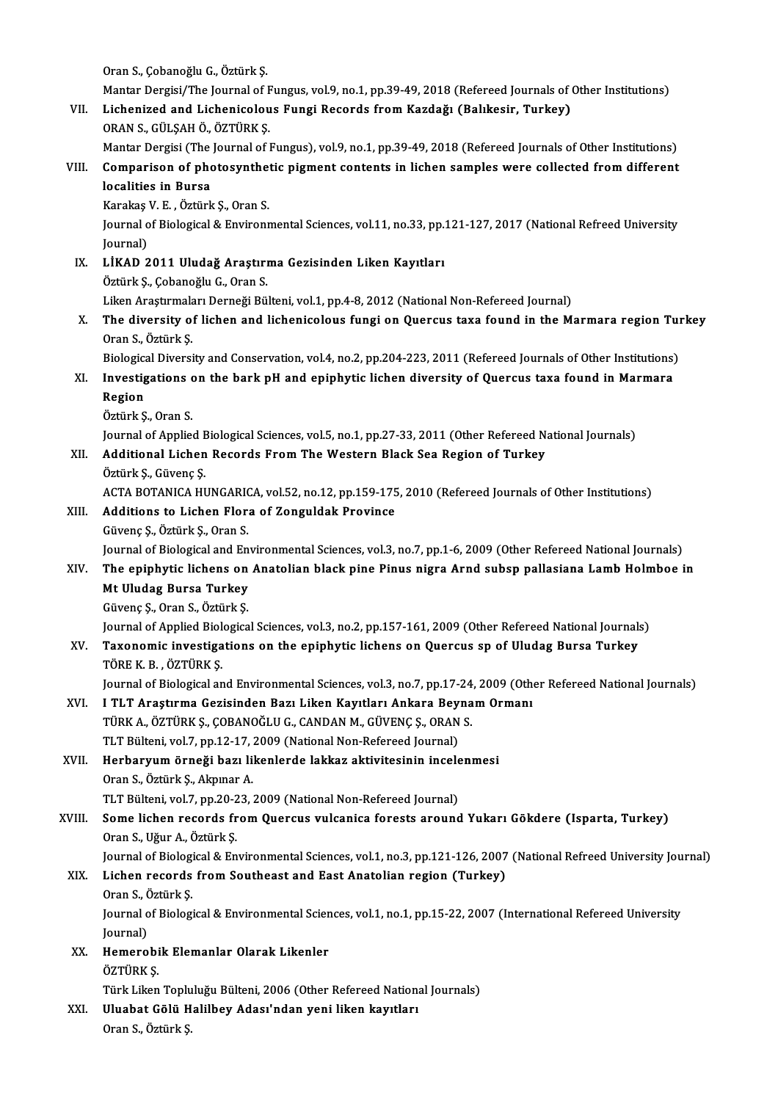Oran S., Çobanoğlu G., Öztürk Ş.

Mantar Dergisi/The Journal of Fungus, vol.9, no.1, pp.39-49, 2018 (Refereed Journals of Other Institutions)

Oran S., Çobanoğlu G., Öztürk Ş.<br>Mantar Dergisi/The Journal of Fungus, vol.9, no.1, pp.39-49, 2018 (Refereed Journals of Gill.<br>VII. Lichenized and Lichenicolous Fungi Records from Kazdağı (Balıkesir, Turkey)<br>ORAN S. CÜLSAH Mantar Dergisi/The Journal of F<br>Lichenized and Lichenicolou<br>ORAN S., GÜLŞAH Ö., ÖZTÜRK Ş.<br>Mantar Dergisi (The Journal of I Lichenized and Lichenicolous Fungi Records from Kazdağı (Balıkesir, Turkey)<br>ORAN S., GÜLŞAH Ö., ÖZTÜRK Ş.<br>Mantar Dergisi (The Journal of Fungus), vol.9, no.1, pp.39-49, 2018 (Refereed Journals of Other Institutions)<br>Compar

## ORAN S., GÜLŞAH Ö., ÖZTÜRK Ş.<br>Mantar Dergisi (The Journal of Fungus), vol.9, no.1, pp.39-49, 2018 (Refereed Journals of Other Institutions)<br>VIII. Comparison of photosynthetic pigment contents in lichen samples were collect Mantar Dergisi (The<br>Comparison of phe<br>localities in Bursa<br>Karakas V. E., Östürk Comparison of photosynthe<br>localities in Bursa<br>Karakaş V. E. , Öztürk Ş., Oran S.<br>Journal of Biological & Environn

localities in Bursa<br>Karakaş V. E. , Öztürk Ş., Oran S.<br>Journal of Biological & Environmental Sciences, vol.11, no.33, pp.121-127, 2017 (National Refreed University<br>Journal) Karakaş<br>Journal o<br>Journal)<br>L**ikAD** 2 Journal of Biological & Environmental Sciences, vol.11, no.33, pp.<br>Journal)<br>IX. LİKAD 2011 Uludağ Araştırma Gezisinden Liken Kayıtları<br>Örtürk S. Cohanoğlu C. Oran S.

Journal)<br><mark>LİKAD 2011 Uludağ Araştırı</mark><br>Öztürk Ş., Çobanoğlu G., Oran S.<br>Liken Arastırmaları Derneği Bö Öztürk Ş., Çobanoğlu G., Oran S.<br>Liken Araştırmaları Derneği Bülteni, vol.1, pp.4-8, 2012 (National Non-Refereed Journal)

Öztürk Ş., Çobanoğlu G., Oran S.<br>Liken Araştırmaları Derneği Bülteni, vol.1, pp.4-8, 2012 (National Non-Refereed Journal)<br>X. The diversity of lichen and lichenicolous fungi on Quercus taxa found in the Marmara region Turke Liken Araştırmala<br>The diversity o:<br>Oran S., Öztürk Ş.<br>Pielegisel Diversi The diversity of lichen and lichenicolous fungi on Quercus taxa found in the Marmara region Tui<br>Oran S., Öztürk Ş.<br>Biological Diversity and Conservation, vol.4, no.2, pp.204-223, 2011 (Refereed Journals of Other Institutio

## Oran S., Öztürk Ș.<br>Biological Diversity and Conservation, vol.4, no.2, pp.204-223, 2011 (Refereed Journals of Other Institutions)<br>XI. Investigations on the bark pH and epiphytic lichen diversity of Quercus taxa found in Ma Biologica<br>I<mark>nvestig</mark><br>Region<br>Öztürk S I<mark>nvestigations</mark><br>Region<br>Öztürk Ş., Oran S.<br>Journal of Annlie Region<br>Öztürk Ş., Oran S.<br>Journal of Applied Biological Sciences, vol.5, no.1, pp.27-33, 2011 (Other Refereed National Journals)<br>Additional Lisben Besends Frem The Western Blask See Besien of Turkey

Journal of Applied E<br>**Additional Lichen**<br>Öztürk Ş., Güvenç Ş.<br>ACTA POTANICA HI

# Öztürk Ş., Oran S.<br>Journal of Applied Biological Sciences, vol.5, no.1, pp.27-33, 2011 (Other Refereed N<br>XII. Additional Lichen Records From The Western Black Sea Region of Turkey<br>Öztürk Ş., Güvenç Ş.

Additional Lichen Records From The Western Black Sea Region of Turkey<br>Öztürk Ş., Güvenç Ş.<br>ACTA BOTANICA HUNGARICA, vol.52, no.12, pp.159-175, 2010 (Refereed Journals of Other Institutions)<br>Additions to Lisben Flara of Zon ACTA BOTANICA HUNGARIO<br>**Additions to Lichen Flor**<br>Güvenç Ş., Öztürk Ş., Oran S.<br>Journal of Biologiaal and En

## XIII. Additions to Lichen Flora of Zonguldak Province<br>Güvenç Ş., Öztürk Ş., Oran S.

Journal of Biological and Environmental Sciences, vol.3, no.7, pp.1-6, 2009 (Other Refereed National Journals)

## Güvenç Ş., Öztürk Ş., Oran S.<br>Journal of Biological and Environmental Sciences, vol.3, no.7, pp.1-6, 2009 (Other Refereed National Journals)<br>XIV. The epiphytic lichens on Anatolian black pine Pinus nigra Arnd subsp pal Journal of Biological and En<br>The epiphytic lichens on<br>Mt Uludag Bursa Turkey<br>Güyene S. Oran S. Östürk S. The epiphytic lichens on<br>Mt Uludag Bursa Turkey<br>Güvenç Ş., Oran S., Öztürk Ş.<br>Journal of Annlied Bialogies Mt Uludag Bursa Turkey<br>Güvenç Ş., Oran S., Öztürk Ş.<br>Journal of Applied Biological Sciences, vol.3, no.2, pp.157-161, 2009 (Other Refereed National Journals)<br>Tavonomia investigations on the eninhytic lichens on Quensus en

## Güvenç Ş., Oran S., Öztürk Ş.<br>Journal of Applied Biological Sciences, vol.3, no.2, pp.157-161, 2009 (Other Refereed National Journal XV.<br>Taxonomic investigations on the epiphytic lichens on Quercus sp of Uludag Bursa Turke Journal of Applied Biol<br>**Taxonomic investiga**<br>TÖRE K. B. , ÖZTÜRK Ş.<br>Journal of Biologiael an Taxonomic investigations on the epiphytic lichens on Quercus sp of Uludag Bursa Turkey<br>TÖRE K. B. , ÖZTÜRK Ş.<br>Journal of Biological and Environmental Sciences, vol.3, no.7, pp.17-24, 2009 (Other Refereed National Journals)

## TÖRE K. B. , ÖZTÜRK Ş.<br>Journal of Biological and Environmental Sciences, vol.3, no.7, pp.17-24, 2009 (Other<br>XVI. I TLT Araştırma Gezisinden Bazı Liken Kayıtları Ankara Beynam Ormanı<br>TÜRKA ÖZTÜRK S. CORANOČLU G. CANDAN M. G Journal of Biological and Environmental Sciences, vol.3, no.7, pp.17-24<br>I TLT Araştırma Gezisinden Bazı Liken Kayıtları Ankara Beyna<br>TÜRK A., ÖZTÜRK Ş., ÇOBANOĞLU G., CANDAN M., GÜVENÇ Ş., ORAN S.<br>TLT Bültoni vol.7, np.12, I TLT Araştırma Gezisinden Bazı Liken Kayıtları Ankara Bey<br>TÜRK A., ÖZTÜRK Ş., ÇOBANOĞLU G., CANDAN M., GÜVENÇ Ş., ORAN<br>TLT Bülteni, vol.7, pp.12-17, 2009 (National Non-Refereed Journal)<br>Harbayuum örneği başı likenlerde la TÜRK A., ÖZTÜRK Ş., ÇOBANOĞLU G., CANDAN M., GÜVENÇ Ş., ORAN S.<br>TLT Bülteni, vol.7, pp.12-17, 2009 (National Non-Refereed Journal)<br>XVII. Herbaryum örneği bazı likenlerde lakkaz aktivitesinin incelenmesi<br>Oran S. Öztürk S. A

TLT Bülteni, vol.7, pp.12-17, 2009 (National Non-Refereed Journal)<br>Herbaryum örneği bazı likenlerde lakkaz aktivitesinin incele<br>Oran S., Öztürk Ş., Akpınar A. Herbaryum örneği bazı likenlerde lakkaz aktivitesinin incelenmesi

TLT Bülteni, vol.7, pp.20-23, 2009 (National Non-Refereed Journal)

## XVIII. Some lichen records from Quercus vulcanica forests around Yukarı Gökdere (Isparta, Turkey)<br>Oran S., Uğur A., Öztürk Ş. Some lichen records from Quercus vulcanica forests around Yukarı Gökdere (Isparta, Turkey)<br>Oran S., Uğur A., Öztürk Ş.<br>Journal of Biological & Environmental Sciences, vol.1, no.3, pp.121-126, 2007 (National Refreed Univers

### XIX. Lichen records from Southeast and East Anatolian region (Turkey)<br>Oran S., Öztürk S. Journal of Biologi<br><mark>Lichen records</mark><br>Oran S., Öztürk Ş.<br>Journal of Biologi Li<mark>chen records from Southeast and East Anatolian region (Turkey)</mark><br>Oran S., Öztürk Ş.<br>Journal of Biological & Environmental Sciences, vol.1, no.1, pp.15-22, 2007 (International Refereed University<br>Journal)

Oran S., Ò<br>Journal o<br>Journal)<br>Homoro Journal of Biological & Environmental Scien<br>Journal)<br>XX. Hemerobik Elemanlar Olarak Likenler<br>ÖZTÜPK S

- Journal)<br><mark>Hemerobi</mark><br>ÖZTÜRK Ş.<br>Türk Liken ÖZTÜRK Ş.<br>Türk Liken Topluluğu Bülteni, 2006 (Other Refereed National Journals) ÖZTÜRK Ş.<br>Türk Liken Topluluğu Bülteni, 2006 (Other Refereed Nation:<br>XXI. Uluabat Gölü Halilbey Adası'ndan yeni liken kayıtları<br>Oran S. Östürle S.
	- Türk Liken Toplu<br><mark>Uluabat Gölü H</mark><br>Oran S., Öztürk Ş.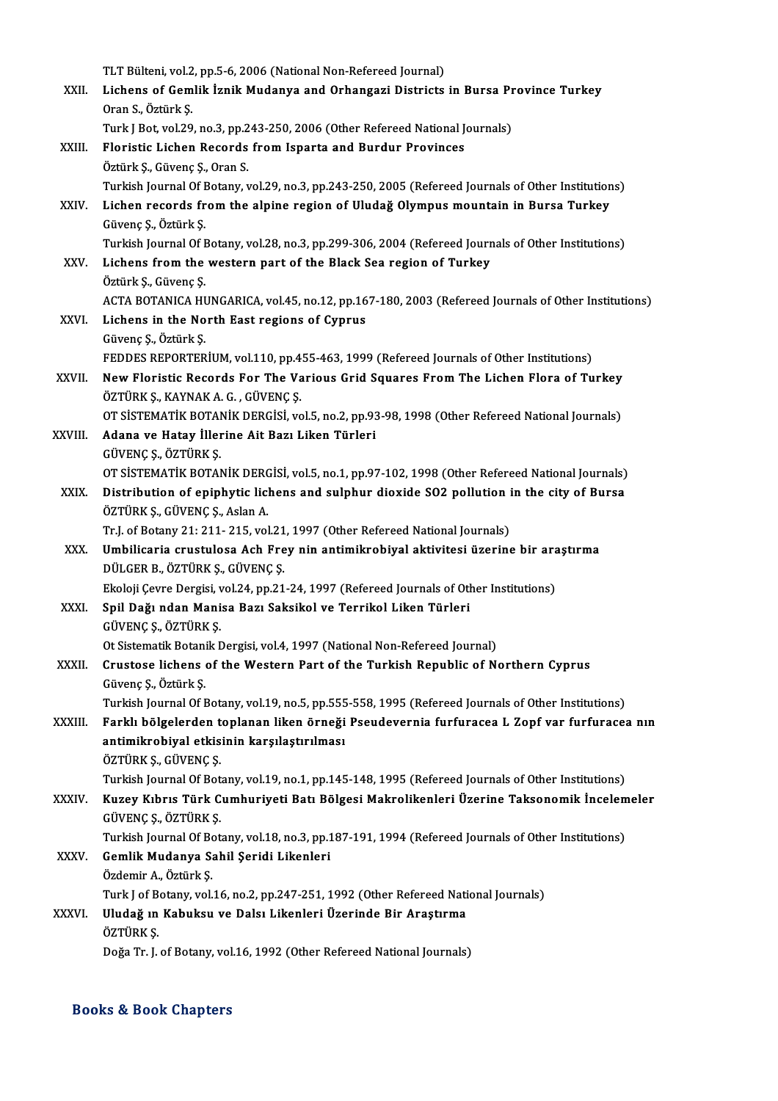|              | TLT Bülteni, vol.2, pp.5-6, 2006 (National Non-Refereed Journal)                                                                     |
|--------------|--------------------------------------------------------------------------------------------------------------------------------------|
| XXII.        | Lichens of Gemlik İznik Mudanya and Orhangazi Districts in Bursa Province Turkey                                                     |
|              | Oran S, Öztürk Ş.                                                                                                                    |
|              | Turk J Bot, vol.29, no.3, pp.243-250, 2006 (Other Refereed National Journals)                                                        |
| XXIII.       | Floristic Lichen Records from Isparta and Burdur Provinces                                                                           |
|              | Öztürk Ş., Güvenç Ş., Oran S.                                                                                                        |
|              | Turkish Journal Of Botany, vol.29, no.3, pp.243-250, 2005 (Refereed Journals of Other Institutions)                                  |
| XXIV.        | Lichen records from the alpine region of Uludağ Olympus mountain in Bursa Turkey                                                     |
|              | Güvenç Ş., Öztürk Ş.                                                                                                                 |
|              | Turkish Journal Of Botany, vol.28, no.3, pp.299-306, 2004 (Refereed Journals of Other Institutions)                                  |
| XXV          | Lichens from the western part of the Black Sea region of Turkey                                                                      |
|              | Öztürk Ş., Güvenç Ş.                                                                                                                 |
|              | ACTA BOTANICA HUNGARICA, vol.45, no.12, pp.167-180, 2003 (Refereed Journals of Other Institutions)                                   |
| XXVI.        | Lichens in the North East regions of Cyprus                                                                                          |
|              | Güvenç Ş., Öztürk Ş.                                                                                                                 |
|              | FEDDES REPORTERIUM, vol.110, pp.455-463, 1999 (Refereed Journals of Other Institutions)                                              |
| XXVII.       | New Floristic Records For The Various Grid Squares From The Lichen Flora of Turkey                                                   |
|              | ÖZTÜRK Ş., KAYNAK A. G. , GÜVENÇ Ş.<br>OT SISTEMATIK BOTANIK DERGISI, vol.5, no.2, pp.93-98, 1998 (Other Refereed National Journals) |
| XXVIII.      | Adana ve Hatay İllerine Ait Bazı Liken Türleri                                                                                       |
|              | GÜVENÇ Ş., ÖZTÜRK Ş.                                                                                                                 |
|              | OT SISTEMATIK BOTANIK DERGISI, vol.5, no.1, pp.97-102, 1998 (Other Refereed National Journals)                                       |
| XXIX.        | Distribution of epiphytic lichens and sulphur dioxide SO2 pollution in the city of Bursa                                             |
|              | ÖZTÜRK Ş., GÜVENÇ Ş., Aslan A.                                                                                                       |
|              | Tr.J. of Botany 21: 211-215, vol.21, 1997 (Other Refereed National Journals)                                                         |
| XXX.         | Umbilicaria crustulosa Ach Frey nin antimikrobiyal aktivitesi üzerine bir araştırma                                                  |
|              | DÜLGER B., ÖZTÜRK Ş., GÜVENÇ Ş.                                                                                                      |
|              | Ekoloji Çevre Dergisi, vol 24, pp.21-24, 1997 (Refereed Journals of Other Institutions)                                              |
| <b>XXXI</b>  | Spil Dağı ndan Manisa Bazı Saksikol ve Terrikol Liken Türleri                                                                        |
|              | GÜVENÇ Ş, ÖZTÜRK Ş                                                                                                                   |
|              | Ot Sistematik Botanik Dergisi, vol.4, 1997 (National Non-Refereed Journal)                                                           |
| <b>XXXII</b> | Crustose lichens of the Western Part of the Turkish Republic of Northern Cyprus                                                      |
|              | Güvenç Ş., Öztürk Ş.                                                                                                                 |
|              | Turkish Journal Of Botany, vol.19, no.5, pp.555-558, 1995 (Refereed Journals of Other Institutions)                                  |
| XXXIII.      | Farklı bölgelerden toplanan liken örneği Pseudevernia furfuracea L Zopf var furfuracea nın                                           |
|              | antimikrobiyal etkisinin karşılaştırılması                                                                                           |
|              | ÖZTÜRK Ş., GÜVENÇ Ş.<br>Turkish Journal Of Botany, vol.19, no.1, pp.145-148, 1995 (Refereed Journals of Other Institutions)          |
| XXXIV.       | Kuzey Kıbrıs Türk Cumhuriyeti Batı Bölgesi Makrolikenleri Üzerine Taksonomik İncelemeler                                             |
|              | GÜVENÇ Ş, ÖZTÜRK Ş                                                                                                                   |
|              | Turkish Journal Of Botany, vol.18, no.3, pp.187-191, 1994 (Refereed Journals of Other Institutions)                                  |
| <b>XXXV</b>  | Gemlik Mudanya Sahil Şeridi Likenleri                                                                                                |
|              | Özdemir A., Öztürk Ş.                                                                                                                |
|              | Turk J of Botany, vol.16, no.2, pp.247-251, 1992 (Other Refereed National Journals)                                                  |
| XXXVI.       | Uludağ ın Kabuksu ve Dalsı Likenleri Üzerinde Bir Araştırma                                                                          |
|              | ÖZTÜRK Ş.                                                                                                                            |
|              | Doğa Tr. J. of Botany, vol.16, 1992 (Other Refereed National Journals)                                                               |
|              |                                                                                                                                      |

### Books&Book Chapters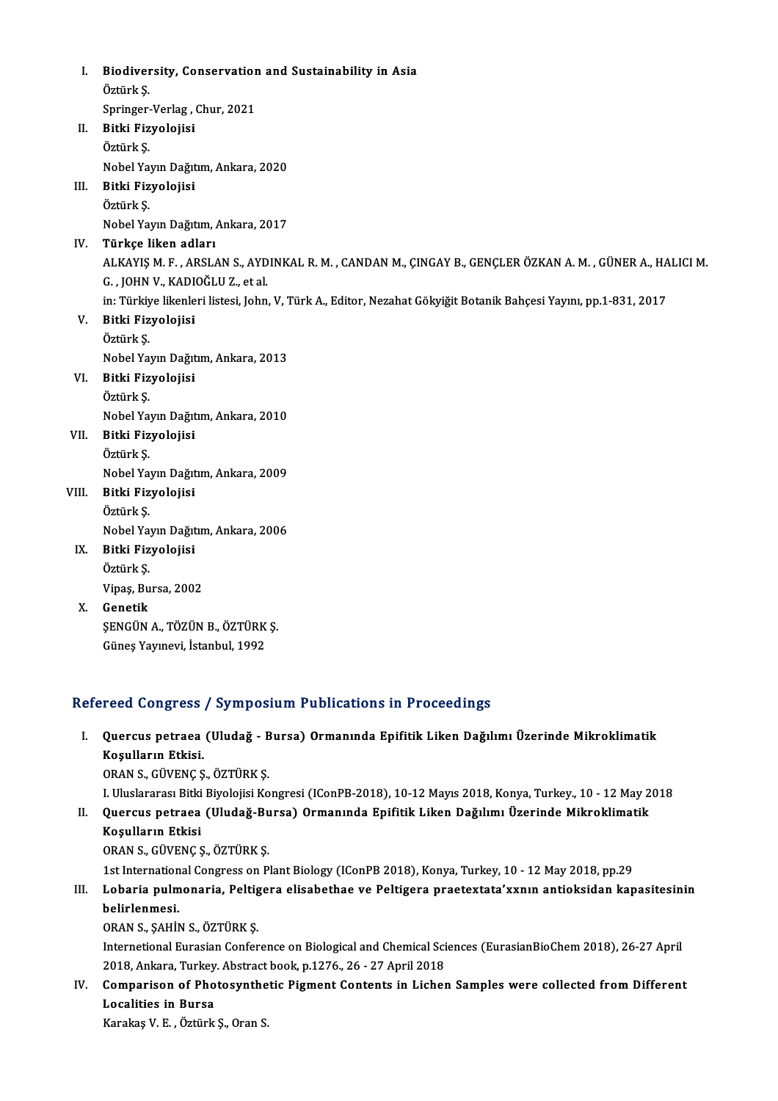I. Biodiversity, Conservation and Sustainability in Asia<br>Östürk S Biodiver<br>Öztürk Ş.<br><sup>Sprincer</sup> Biodiversity, Conservation<br>Öztürk Ş.<br>Springer-Verlag , Chur, 2021<br>Bitki Firmelaijai Öztürk Ş.<br>Springer-Verlag ,<br>II. Bitki Fizyolojisi<br>Öztürk S Springer<br>Bitki Fiz<br>Öztürk Ş.<br>Nobel Ya Öztürk Ş.<br>Nobel Yayın Dağıtım, Ankara, 2020 Öztürk Ş.<br>Nobel Yayın Dağıt<br>III. Bitki Fizyolojisi<br>Öztürk S Nobel Ya<br><mark>Bitki Fiz</mark><br>Öztürk Ş.<br><sup>Nobel Yo</sup> Öztürk Ş.<br>Nobel Yayın Dağıtım, Ankara, 2017 IV. Türkçe liken adları Nobel Yayın Dağıtım, Ankara, 2017<br>Türkçe liken adları<br>ALKAYIŞ M. F. , ARSLAN S., AYDINKAL R. M. , CANDAN M., ÇINGAY B., GENÇLER ÖZKAN A. M. , GÜNER A., HALICI M.<br>C. , JOHN V. , KADIQČLU Z. et al <mark>Türkçe liken adları</mark><br>ALKAYIŞ M. F. , ARSLAN S., AYD<br>G. , JOHN V., KADIOĞLU Z., et al.<br>in: Türkiye likenleri listesi John ALKAYIŞ M. F. , ARSLAN S., AYDINKAL R. M. , CANDAN M., ÇINGAY B., GENÇLER ÖZKAN A. M. , GÜNER A., HA<br>G. , JOHN V., KADIOĞLU Z., et al.<br>in: Türkiye likenleri listesi, John, V, Türk A., Editor, Nezahat Gökyiğit Botanik Bahçe G. , JOHN V., KADI<br>in: Türkiye likenle<br>V. Bitki Fizyolojisi<br>Östürk S. in: Türkiy<br><mark>Bitki Fiz</mark><br>Öztürk Ş.<br><sup>Nobol Yo</sup> Bitki Fizyolojisi<br>Öztürk Ş.<br>Nobel Yayın Dağıtım, Ankara, 2013<br>Bitki Eiryolojisi Öztürk Ş.<br>Nobel Yayın Dağıt<br>VI. Bitki Fizyolojisi<br>Öztürk S. Nobel Ya<br>Bitki Fiz<br>Öztürk Ş.<br>Nobel Ya Bitki Fizyolojisi<br>Öztürk Ş.<br>Nobel Yayın Dağıtım, Ankara, 2010<br>Bitki Eiryolojisi VII. Bitki Fizyolojisi<br>Öztürk Ş. Nobel Ya<br>Bitki Fiz<br>Öztürk Ş.<br>Nobel Ya Nobel Yayın Dağıtım, Ankara, 2009 Öztürk Ş.<br>Nobel Yayın Dağıt<br>VIII. Bitki Fizyolojisi<br>Öztürk S Nobel Ya<br><mark>Bitki Fiz</mark><br>Öztürk Ş.<br><sup>Nobel Yo</sup> Öztürk Ş.<br>Nobel Yayın Dağıtım, Ankara, 2006 Öztürk Ş.<br>Nobel Yayın Dağıt<br>IX. Bitki Fizyolojisi<br>Öztürk S Nobel Ya<br><mark>Bitki Fiz</mark><br>Öztürk Ş.<br><sup>Vinos</sup> Bu Bitki Fizyolojisi<br>Öztürk Ş.<br>Vipaş, Bursa, 2002<br>Conetik Öztürk Ş.<br>Vipaş, Bursa, 2002<br>X. Genetik Vipaş, Bursa, 2002<br>Genetik<br>ŞENGÜN A., TÖZÜN B., ÖZTÜRK Ş.<br>Günes Yaunayi, İstanbul, 1993 Genetik<br>ŞENGÜN A., TÖZÜN B., ÖZTÜRK<br>Güneş Yayınevi, İstanbul, 1992

# Güneş Yayınevi, İstanbul, 1992<br>Refereed Congress / Symposium Publications in Proceedings

## efereed Congress / Symposium Publications in Proceedings<br>I. Quercus petraea (Uludağ - Bursa) Ormanında Epifitik Liken Dağılımı Üzerinde Mikroklimatik<br>Kosulların Etkisi Tood dongrood<br>Quercus petraea<br>Koşulların Etkisi.<br>OPAN S. CÜVENCS Quercus petraea (Uludağ - E<br>Koşulların Etkisi.<br>ORAN S., GÜVENÇ Ş., ÖZTÜRK Ş.<br>L Uluslararası Bitki Biyolojisi Ko Koşulların Etkisi.<br>ORAN S., GÜVENÇ Ş., ÖZTÜRK Ş.<br>I. Uluslararası Bitki Biyolojisi Kongresi (IConPB-2018), 10-12 Mayıs 2018, Konya, Turkey., 10 - 12 May 2018<br>Quereys netrasa (Uludeğ Bursa) Ormanında Enifitik Liken Dağılımı

ORAN S., GÜVENÇ Ş., ÖZTÜRK Ş.<br>I. Uluslararası Bitki Biyolojisi Kongresi (IConPB-2018), 10-12 Mayıs 2018, Konya, Turkey., 10 - 12 May 2<br>II. Quercus petraea (Uludağ-Bursa) Ormanında Epifitik Liken Dağılımı Üzerinde Mikro

# I. Uluslararası Bitki<br>Quercus petraea<br>Koşulların Etkisi<br>OPAN S. CÜVENCS

II. Quercus petraea (Uludağ-Bursa) Ormanında Epifitik Liken Dağılımı Üzerinde Mikroklimatik<br>Koşulların Etkisi<br>ORAN S., GÜVENÇ Ş., ÖZTÜRK Ş.

1st International Congress on Plant Biology (IConPB 2018), Konya, Turkey, 10 - 12 May 2018, pp.29

## ORAN S., GÜVENÇ Ş., ÖZTÜRK Ş.<br>1st International Congress on Plant Biology (IConPB 2018), Konya, Turkey, 10 - 12 May 2018, pp.29<br>III. Lobaria pulmonaria, Peltigera elisabethae ve Peltigera praetextata'xxnın antioksidan 1st Internation<br>Lobaria pulm<br>belirlenmesi.<br>OPAN S. SAHİN Lobaria pulmonaria, Peltig<br>belirlenmesi.<br>ORAN S., ŞAHİN S., ÖZTÜRK Ş.<br>International Eurosian Confor

belirlenmesi.<br>ORAN S., ŞAHİN S., ÖZTÜRK Ş.<br>Internetional Eurasian Conference on Biological and Chemical Sciences (EurasianBioChem 2018), 26-27 April<br>2018, Ankara, Turkey, Abstrast bask, p.1276, 26, 27 April 2019. ORAN S., ŞAHİN S., ÖZTÜRK Ş.<br>Internetional Eurasian Conference on Biological and Chemical Sci<br>2018, Ankara, Turkey. Abstract book, p.1276., 26 - 27 April 2018<br>Companison of Phateaunthatic Biamant Contanta in Lisbor Internetional Eurasian Conference on Biological and Chemical Sciences (EurasianBioChem 2018), 26-27 April 2018<br>2018, Ankara, Turkey. Abstract book, p.1276., 26 - 27 April 2018<br>IV. Comparison of Photosynthetic Pigment Conte

## 2018, Ankara, Turkey<br>Comparison of Pho<br>Localities in Bursa<br>Kanakas V. E., Östürk Comparison of Photosynthe<br>Localities in Bursa<br>Karakaş V. E. , Öztürk Ş., Oran S.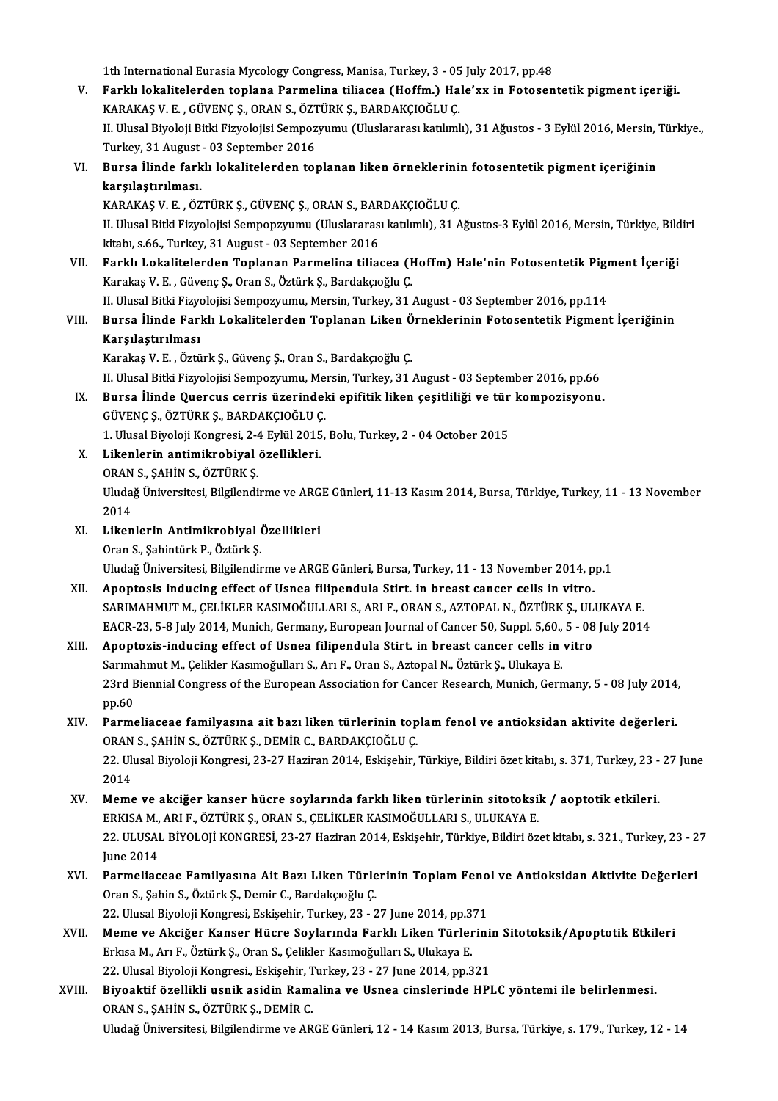1th International Eurasia Mycology Congress, Manisa, Turkey, 3 - 05 July 2017, pp.48<br>Earkh Jokalitelerden tenlang Rarmaling tiliesse (Hoffm), Hole'uy in Estesen

- V. Farklı lokalitelerden toplana Parmelina tiliacea (Hoffm.) Hale'xx in Fotosentetik pigment içeriği. 1th International Eurasia Mycology Congress, Manisa, Turkey, 3 - 05<br>Farklı lokalitelerden toplana Parmelina tiliacea (Hoffm.) Ha<br>KARAKAŞ V. E. , GÜVENÇ Ş., ORAN S., ÖZTÜRK Ş., BARDAKÇIOĞLU Ç.<br>II Hlusel Biyeleji Bitki Firye II. Ulusal Biyoloji Bitki Fizyolojisi Sempozyumu (Uluslararası katılımlı), 31 Ağustos - 3 Eylül 2016, Mersin, Türkiye.,<br>Turkey, 31 August - 03 September 2016 KARAKAS V. E., GÜVENC S., ORAN S., ÖZTÜRK S., BARDAKCIOĞLU C. II. Ulusal Biyoloji Bitki Fizyolojisi Sempozyumu (Uluslararası katılımlı), 31 Ağustos - 3 Eylül 2016, Mersin,<br>Turkey, 31 August - 03 September 2016<br>VI. Bursa İlinde farklı lokalitelerden toplanan liken örneklerinin fotosen
- karşılaştırılması. Bursa İlinde farklı lokalitelerden toplanan liken örneklerini:<br>karşılaştırılması.<br>KARAKAŞ V. E. , ÖZTÜRK Ş., GÜVENÇ Ş., ORAN S., BARDAKÇIOĞLU Ç.<br>II Hlucel Bitki Fizyolojisi Semperzyumu (Hluclareres katılımlı), 21,4

II. Ulusal Bitki Fizyolojisi Sempopzyumu (Uluslararası katılımlı), 31 Ağustos-3 Eylül 2016, Mersin, Türkiye, Bildiri<br>kitabı, s.66., Turkey, 31 August - 03 September 2016 KARAKAŞ V. E., ÖZTÜRK Ş., GÜVENÇ Ş., ORAN S., BARDAKÇIOĞLU Ç. II. Ulusal Bitki Fizyolojisi Sempopzyumu (Uluslararası katılımlı), 31 Ağustos-3 Eylül 2016, Mersin, Türkiye, Bild<br>kitabı, s.66., Turkey, 31 August - 03 September 2016<br>VII. Farklı Lokalitelerden Toplanan Parmelina tiliacea

kitabı, s.66., Turkey, 31 August - 03 September 2016<br>Farklı Lokalitelerden Toplanan Parmelina tiliacea (I<br>Karakaş V. E. , Güvenç Ş., Oran S., Öztürk Ş., Bardakçıoğlu Ç.<br>II Hlusel Bitki Eirvelejisi Semnerrumu, Mersin Turkey Farklı Lokalitelerden Toplanan Parmelina tiliacea (Hoffm) Hale'nin Fotosentetik Pigı<br>Karakaş V. E. , Güvenç Ş., Oran S., Öztürk Ş., Bardakçıoğlu Ç.<br>II. Ulusal Bitki Fizyolojisi Sempozyumu, Mersin, Turkey, 31 August - 03 Se Karakaş V. E. , Güvenç Ş., Oran S., Öztürk Ş., Bardakçıoğlu Ç.<br>II. Ulusal Bitki Fizyolojisi Sempozyumu, Mersin, Turkey, 31 August - 03 September 2016, pp.114<br>VIII. Bursa İlinde Farklı Lokalitelerden Toplanan Liken Örne

## II. Ulusal Bitki Fizyo<br>Bursa İlinde Farl<br>Karşılaştırılması<br>Karşılaştırılması Bursa İlinde Farklı Lokalitelerden Toplanan Liken Ö<br>Karşılaştırılması<br>Karakaş V. E. , Öztürk Ş., Güvenç Ş., Oran S., Bardakçıoğlu Ç.<br>II Hlusel Bitli Eirvelejisi Semnerrumu Mensin Turkey 21

Karşılaştırılması<br>Karakaş V. E. , Öztürk Ş., Güvenç Ş., Oran S., Bardakçıoğlu Ç.<br>II. Ulusal Bitki Fizyolojisi Sempozyumu, Mersin, Turkey, 31 August - 03 September 2016, pp.66

- Karakaş V. E. , Öztürk Ş., Güvenç Ş., Oran S., Bardakçıoğlu Ç.<br>II. Ulusal Bitki Fizyolojisi Sempozyumu, Mersin, Turkey, 31 August 03 September 2016, pp.66<br>IX. Bursa İlinde Quercus cerris üzerindeki epifitik liken çeş
- II. Ulusal Bitki Fizyolojisi Sempozyumu, Me<br>Bursa İlinde Quercus cerris üzerindel<br>GÜVENÇ Ş., ÖZTÜRK Ş., BARDAKÇIOĞLU Ç.<br>1. Ulusal Biyalaji Kangresi, 3.4 Eylül 2015 Bursa İlinde Quercus cerris üzerindeki epifitik liken çeşitliliği ve tür<br>GÜVENÇ Ş., ÖZTÜRK Ş., BARDAKÇIOĞLU Ç.<br>1. Ulusal Biyoloji Kongresi, 2-4 Eylül 2015, Bolu, Turkey, 2 - 04 October 2015<br>Likanlarin antimilmebiyel örelli GÜVENÇ Ş., ÖZTÜRK Ş., BARDAKÇIOĞLU Ç.<br>1. Ulusal Biyoloji Kongresi, 2-4 Eylül 2015,<br>X. Likenlerin antimikrobiyal özellikleri.<br>ORAN S., ŞAHİN S., ÖZTÜRK Ş. 1. Ulusal Biyoloji Kongresi, 2-4 Eylül 2015, Bolu, Turkey, 2 - 04 October 2015
- Likenlerin antimikrobiyal özellikleri.<br>ORAN S., ŞAHİN S., ÖZTÜRK Ş.<br>Uludağ Üniversitesi, Bilgilendirme ve ARGE Günleri, 11-13 Kasım 2014, Bursa, Türkiye, Turkey, 11 13 November ORAN<br>Uluda<br>2014<br>Liken Uludağ Üniversitesi, Bilgilendirme ve ARG<br>2014<br>XI. Likenlerin Antimikrobiyal Özellikleri<br>Oran S. Sabintürk B. Öztürk S.
- 2014<br>XI. Likenlerin Antimikrobiyal Özellikleri<br>Oran S., Şahintürk P., Öztürk Ş. Uludağ Üniversitesi, Bilgilendirme ve ARGE Günleri, Bursa, Turkey, 11 - 13 November 2014, pp.1
- XII. Apoptosis inducing effect of Usnea filipendula Stirt. in breast cancer cells in vitro. Uludağ Üniversitesi, Bilgilendirme ve ARGE Günleri, Bursa, Turkey, 11 - 13 November 2014, pp.1<br>Apoptosis inducing effect of Usnea filipendula Stirt. in breast cancer cells in vitro.<br>SARIMAHMUT M., ÇELİKLER KASIMOĞULLARI S. Apoptosis inducing effect of Usnea filipendula Stirt. in breast cancer cells in vitro.<br>SARIMAHMUT M., ÇELİKLER KASIMOĞULLARI S., ARI F., ORAN S., AZTOPAL N., ÖZTÜRK Ş., ULUKAYA E.<br>EACR-23, 5-8 July 2014, Munich, Germany, E SARIMAHMUT M., ÇELİKLER KASIMOĞULLARI S., ARI F., ORAN S., AZTOPAL N., ÖZTÜRK Ş., UL<br>EACR-23, 5-8 July 2014, Munich, Germany, European Journal of Cancer 50, Suppl. 5,60., 5 - 08<br>XIII. Apoptozis-inducing effect of Usnea fil
- EACR-23, 5-8 July 2014, Munich, Germany, European Journal of Cancer 50, Suppl. 5,60.,<br>Apoptozis-inducing effect of Usnea filipendula Stirt. in breast cancer cells in<br>Sarımahmut M., Çelikler Kasımoğulları S., Arı F., Oran S Apoptozis-inducing effect of Usnea filipendula Stirt. in breast cancer cells in vitro<br>Sarımahmut M., Çelikler Kasımoğulları S., Arı F., Oran S., Aztopal N., Öztürk Ş., Ulukaya E.<br>23rd Biennial Congress of the European Asso Sarima<br>23rd E<br>pp.60<br>Parma 23rd Biennial Congress of the European Association for Cancer Research, Munich, Germany, 5 - 08 July 2014<br>pp.60<br>XIV. Parmeliaceae familyasına ait bazı liken türlerinin toplam fenol ve antioksidan aktivite değerleri.<br>ORAN S
- pp.60<br>Parmeliaceae familyasına ait bazı liken türlerinin top<br>ORAN S., ŞAHİN S., ÖZTÜRK Ş., DEMİR C., BARDAKÇIOĞLU Ç.<br>22 Hiveal Biyalaji Kangresi, 22,27 Hariyan 2014, Felisabiy ( Parmeliaceae familyasına ait bazı liken türlerinin toplam fenol ve antioksidan aktivite değerleri.<br>ORAN S., ŞAHİN S., ÖZTÜRK Ş., DEMİR C., BARDAKÇIOĞLU Ç.<br>22. Ulusal Biyoloji Kongresi, 23-27 Haziran 2014, Eskişehir, Türkiy **ORAN**<br>22. Uli<br>2014 22. Ulusal Biyoloji Kongresi, 23-27 Haziran 2014, Eskişehir, Türkiye, Bildiri özet kitabı, s. 371, Turkey, 23 -<br>2014<br>XV. Meme ve akciğer kanser hücre soylarında farklı liken türlerinin sitotoksik / aoptotik etkileri.<br>ERKIS
- 2014<br>ERKISA M., ARIF., ÖZTÜRK Ş., ORAN S., ÇELİKLER KASIMOĞULLARI S., ULUKAYA E.<br>ERKISA M., ARI F., ÖZTÜRK Ş., ORAN S., ÇELİKLER KASIMOĞULLARI S., ULUKAYA E. Meme ve akciğer kanser hücre soylarında farklı liken türlerinin sitotoksik / aoptotik etkileri.<br>ERKISA M., ARI F., ÖZTÜRK Ş., ORAN S., ÇELİKLER KASIMOĞULLARI S., ULUKAYA E.<br>22. ULUSAL BİYOLOJİ KONGRESİ, 23-27 Haziran 2014, ERKISA M.,<br>22. ULUSAI<br>June 2014<br>Parmaliae 22. ULUSAL BİYOLOJİ KONGRESİ, 23-27 Haziran 2014, Eskişehir, Türkiye, Bildiri özet kitabı, s. 321., Turkey, 23 - 2<br>June 2014<br>XVI. Parmeliaceae Familyasına Ait Bazı Liken Türlerinin Toplam Fenol ve Antioksidan Aktivite Değe
- June 2014<br><mark>Parmeliaceae Familyasına Ait Bazı Liken Türle</mark><br>Oran S., Şahin S., Öztürk Ş., Demir C., Bardakçıoğlu Ç.<br>22 Hlucel Biyeleji Kongresi, Fekisebir Turkey, 22 Parmeliaceae Familyasına Ait Bazı Liken Türlerinin Toplam Feno<br>Oran S., Şahin S., Öztürk Ş., Demir C., Bardakçıoğlu Ç.<br>22. Ulusal Biyoloji Kongresi, Eskişehir, Turkey, 23 - 27 June 2014, pp.371<br>Meme ve Alsiğen Kansen Hüsre Oran S., Şahin S., Öztürk Ş., Demir C., Bardakçıoğlu Ç.<br>22. Ulusal Biyoloji Kongresi, Eskişehir, Turkey, 23 - 27 June 2014, pp.371<br>XVII. Meme ve Akciğer Kanser Hücre Soylarında Farklı Liken Türlerinin Sitotoksik/Apoptotik
- 22. Ulusal Biyoloji Kongresi, Eskişehir, Turkey, 23 27 June 2014, pp.371<br>Meme ve Akciğer Kanser Hücre Soylarında Farklı Liken Türlerin<br>Erkısa M., Arı F., Öztürk Ş., Oran S., Çelikler Kasımoğulları S., Ulukaya E. Meme ve Akciğer Kanser Hücre Soylarında Farklı Liken Türlerini:<br>Erkısa M., Arı F., Öztürk Ş., Oran S., Çelikler Kasımoğulları S., Ulukaya E.<br>22. Ulusal Biyoloji Kongresi., Eskişehir, Turkey, 23 - 27 June 2014, pp.321<br>Biyoo 22. Ulusal Biyoloji Kongresi., Eskişehir, Turkey, 23 - 27 June 2014, pp.321
- XVIII. Biyoaktif özellikli usnik asidin Ramalina ve Usnea cinslerinde HPLC yöntemi ile belirlenmesi.<br>ORAN S., SAHİN S., ÖZTÜRK Ş., DEMİR C. Uludağ Üniversitesi, Bilgilendirme ve ARGE Günleri, 12 - 14 Kasım 2013, Bursa, Türkiye, s. 179., Turkey, 12 - 14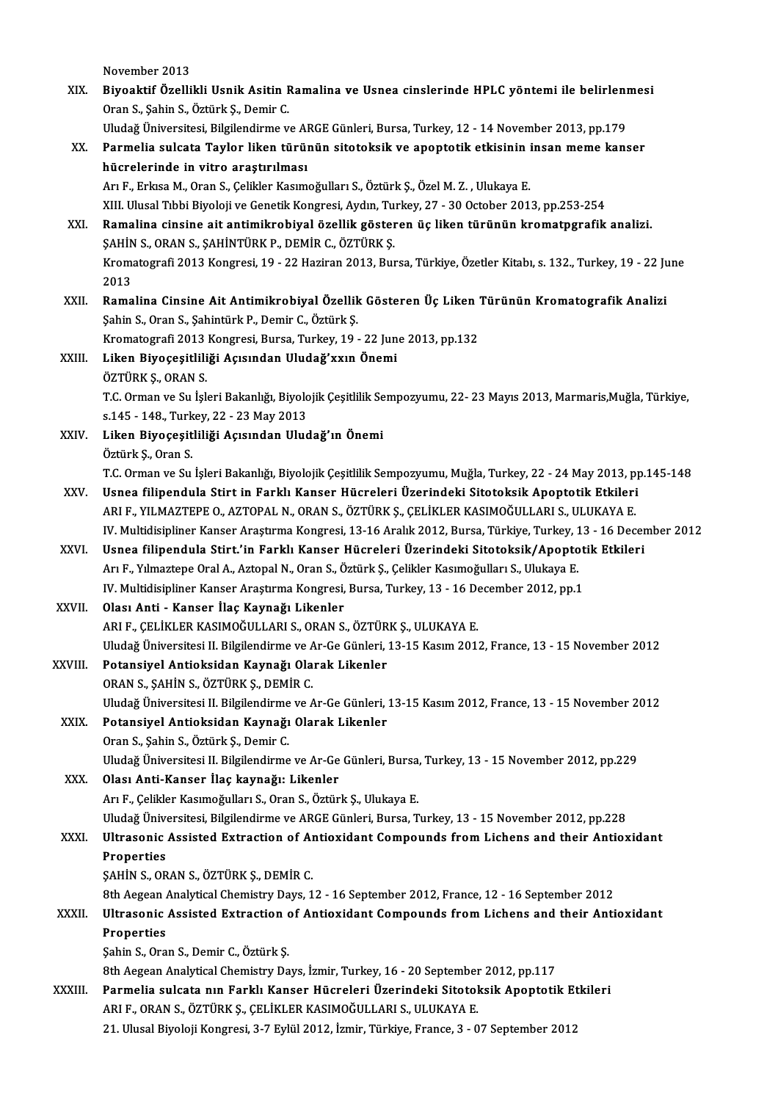November 2013<br>November 2013<br>Pivoaktif Özelli

| XIX.    | November 2013<br>Biyoaktif Özellikli Usnik Asitin Ramalina ve Usnea cinslerinde HPLC yöntemi ile belirlenmesi                                             |
|---------|-----------------------------------------------------------------------------------------------------------------------------------------------------------|
|         | Oran S., Şahin S., Öztürk Ş., Demir C.                                                                                                                    |
|         | Uludağ Üniversitesi, Bilgilendirme ve ARGE Günleri, Bursa, Turkey, 12 - 14 November 2013, pp.179                                                          |
| XX.     | Parmelia sulcata Taylor liken türünün sitotoksik ve apoptotik etkisinin insan meme kanser                                                                 |
|         | hücrelerinde in vitro araştırılması                                                                                                                       |
|         | Arı F., Erkısa M., Oran S., Çelikler Kasımoğulları S., Öztürk Ş., Özel M. Z., Ulukaya E.                                                                  |
|         | XIII. Ulusal Tıbbi Biyoloji ve Genetik Kongresi, Aydın, Turkey, 27 - 30 October 2013, pp.253-254                                                          |
| XXI.    | Ramalina cinsine ait antimikrobiyal özellik gösteren üç liken türünün kromatpgrafik analizi.<br>ŞAHİN S., ORAN S., ŞAHİNTÜRK P., DEMİR C., ÖZTÜRK Ş.      |
|         | Kromatografi 2013 Kongresi, 19 - 22 Haziran 2013, Bursa, Türkiye, Özetler Kitabı, s. 132., Turkey, 19 - 22 June<br>2013                                   |
| XXII.   | Ramalina Cinsine Ait Antimikrobiyal Özellik Gösteren Üç Liken Türünün Kromatografik Analizi                                                               |
|         | Şahin S., Oran S., Şahintürk P., Demir C., Öztürk Ş.                                                                                                      |
|         | Kromatografi 2013 Kongresi, Bursa, Turkey, 19 - 22 June 2013, pp.132                                                                                      |
| XXIII.  | Liken Biyoçeşitliliği Açısından Uludağ'xxın Önemi                                                                                                         |
|         | ÖZTÜRK Ş., ORAN S.                                                                                                                                        |
|         | T.C. Orman ve Su İşleri Bakanlığı, Biyolojik Çeşitlilik Sempozyumu, 22- 23 Mayıs 2013, Marmaris, Muğla, Türkiye,                                          |
|         | s.145 - 148., Turkey, 22 - 23 May 2013                                                                                                                    |
| XXIV.   | Liken Biyoçeşitliliği Açısından Uludağ'ın Önemi                                                                                                           |
|         | Öztürk Ş., Oran S.                                                                                                                                        |
|         | T.C. Orman ve Su İşleri Bakanlığı, Biyolojik Çeşitlilik Sempozyumu, Muğla, Turkey, 22 - 24 May 2013, pp.145-148                                           |
| XXV.    | Usnea filipendula Stirt in Farklı Kanser Hücreleri Üzerindeki Sitotoksik Apoptotik Etkileri                                                               |
|         | ARI F., YILMAZTEPE O., AZTOPAL N., ORAN S., ÖZTÜRK Ş., ÇELİKLER KASIMOĞULLARI S., ULUKAYA E.                                                              |
|         | IV. Multidisipliner Kanser Araştırma Kongresi, 13-16 Aralık 2012, Bursa, Türkiye, Turkey, 13 - 16 December 2012                                           |
| XXVI.   | Usnea filipendula Stirt.'in Farklı Kanser Hücreleri Üzerindeki Sitotoksik/Apoptotik Etkileri                                                              |
|         | Arı F., Yılmaztepe Oral A., Aztopal N., Oran S., Öztürk Ş., Çelikler Kasımoğulları S., Ulukaya E.                                                         |
|         | IV. Multidisipliner Kanser Araştırma Kongresi, Bursa, Turkey, 13 - 16 December 2012, pp.1                                                                 |
| XXVII.  | Olası Anti - Kanser İlaç Kaynağı Likenler                                                                                                                 |
|         | ARI F., ÇELİKLER KASIMOĞULLARI S., ORAN S., ÖZTÜRK Ş., ULUKAYA E.                                                                                         |
| XXVIII. | Uludağ Üniversitesi II. Bilgilendirme ve Ar-Ge Günleri, 13-15 Kasım 2012, France, 13 - 15 November 2012<br>Potansiyel Antioksidan Kaynağı Olarak Likenler |
|         | ORAN S., ŞAHİN S., ÖZTÜRK Ş., DEMİR C.                                                                                                                    |
|         | Uludağ Üniversitesi II. Bilgilendirme ve Ar-Ge Günleri, 13-15 Kasım 2012, France, 13 - 15 November 2012                                                   |
| XXIX.   | Potansiyel Antioksidan Kaynağı Olarak Likenler                                                                                                            |
|         | Oran S., Şahin S., Öztürk Ş., Demir C.                                                                                                                    |
|         | Uludağ Üniversitesi II. Bilgilendirme ve Ar-Ge Günleri, Bursa, Turkey, 13 - 15 November 2012, pp.229                                                      |
| XXX.    | Olası Anti-Kanser İlaç kaynağı: Likenler                                                                                                                  |
|         | Arı F., Çelikler Kasımoğulları S., Oran S., Öztürk Ş., Ulukaya E.                                                                                         |
|         | Uludağ Üniversitesi, Bilgilendirme ve ARGE Günleri, Bursa, Turkey, 13 - 15 November 2012, pp.228                                                          |
| XXXI.   | Ultrasonic Assisted Extraction of Antioxidant Compounds from Lichens and their Antioxidant                                                                |
|         | <b>Properties</b>                                                                                                                                         |
|         | ŞAHİN S., ORAN S., ÖZTÜRK Ş., DEMİR C.                                                                                                                    |
|         | 8th Aegean Analytical Chemistry Days, 12 - 16 September 2012, France, 12 - 16 September 2012                                                              |
| XXXII.  | Ultrasonic Assisted Extraction of Antioxidant Compounds from Lichens and their Antioxidant                                                                |
|         | <b>Properties</b>                                                                                                                                         |
|         | Şahin S., Oran S., Demir C., Öztürk Ş.                                                                                                                    |
|         | 8th Aegean Analytical Chemistry Days, İzmir, Turkey, 16 - 20 September 2012, pp.117                                                                       |
| XXXIII. | Parmelia sulcata nın Farklı Kanser Hücreleri Üzerindeki Sitotoksik Apoptotik Etkileri                                                                     |
|         | ARI F., ORAN S., ÖZTÜRK Ş., ÇELİKLER KASIMOĞULLARI S., ULUKAYA E.                                                                                         |
|         | 21. Ulusal Biyoloji Kongresi, 3-7 Eylül 2012, İzmir, Türkiye, France, 3 - 07 September 2012                                                               |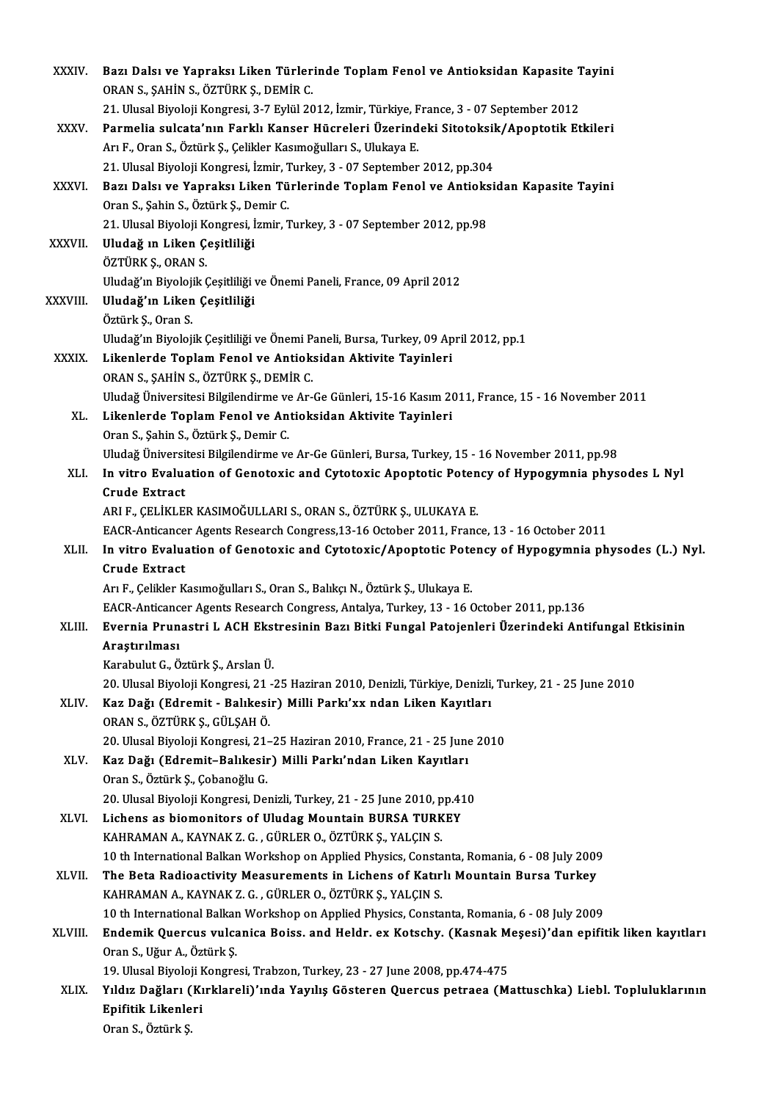| XXXIV.        | Bazı Dalsı ve Yapraksı Liken Türlerinde Toplam Fenol ve Antioksidan Kapasite Tayini                                                                         |
|---------------|-------------------------------------------------------------------------------------------------------------------------------------------------------------|
|               | ORAN S., ŞAHİN S., ÖZTÜRK Ş., DEMİR C.                                                                                                                      |
|               | 21. Ulusal Biyoloji Kongresi, 3-7 Eylül 2012, İzmir, Türkiye, France, 3 - 07 September 2012                                                                 |
| XXXV.         | Parmelia sulcata'nın Farklı Kanser Hücreleri Üzerindeki Sitotoksik/Apoptotik Etkileri                                                                       |
|               | Arı F., Oran S., Öztürk Ş., Çelikler Kasımoğulları S., Ulukaya E.                                                                                           |
|               | 21. Ulusal Biyoloji Kongresi, İzmir, Turkey, 3 - 07 September 2012, pp.304                                                                                  |
| <b>XXXVI</b>  | Bazı Dalsı ve Yapraksı Liken Türlerinde Toplam Fenol ve Antioksidan Kapasite Tayini                                                                         |
|               | Oran S., Şahin S., Öztürk Ş., Demir C.                                                                                                                      |
|               | 21. Ulusal Biyoloji Kongresi, İzmir, Turkey, 3 - 07 September 2012, pp.98                                                                                   |
| <b>XXXVII</b> | Uludağ ın Liken Çeşitliliği                                                                                                                                 |
|               | ÖZTÜRK Ş., ORAN S.                                                                                                                                          |
|               | Uludağ'ın Biyolojik Çeşitliliği ve Önemi Paneli, France, 09 April 2012                                                                                      |
| XXXVIII.      | Uludağ'ın Liken Çeşitliliği                                                                                                                                 |
|               | Öztürk Ş., Oran S.                                                                                                                                          |
|               | Uludağ'ın Biyolojik Çeşitliliği ve Önemi Paneli, Bursa, Turkey, 09 April 2012, pp.1                                                                         |
| <b>XXXIX</b>  | Likenlerde Toplam Fenol ve Antioksidan Aktivite Tayinleri                                                                                                   |
|               | ORAN S., ŞAHİN S., ÖZTÜRK Ş., DEMİR C.                                                                                                                      |
|               | Uludağ Üniversitesi Bilgilendirme ve Ar-Ge Günleri, 15-16 Kasım 2011, France, 15 - 16 November 2011                                                         |
| XL.           | Likenlerde Toplam Fenol ve Antioksidan Aktivite Tayinleri                                                                                                   |
|               | Oran S., Şahin S., Öztürk Ş., Demir C.<br>Uludağ Üniversitesi Bilgilendirme ve Ar-Ge Günleri, Bursa, Turkey, 15 - 16 November 2011, pp.98                   |
| XLI.          | In vitro Evaluation of Genotoxic and Cytotoxic Apoptotic Potency of Hypogymnia physodes L Nyl                                                               |
|               | <b>Crude Extract</b>                                                                                                                                        |
|               | ARI F., ÇELİKLER KASIMOĞULLARI S., ORAN S., ÖZTÜRK Ş., ULUKAYA E.                                                                                           |
|               | EACR-Anticancer Agents Research Congress, 13-16 October 2011, France, 13 - 16 October 2011                                                                  |
| XLII.         | In vitro Evaluation of Genotoxic and Cytotoxic/Apoptotic Potency of Hypogymnia physodes (L.) Nyl.                                                           |
|               | <b>Crude Extract</b>                                                                                                                                        |
|               | Arı F., Çelikler Kasımoğulları S., Oran S., Balıkçı N., Öztürk Ş., Ulukaya E.                                                                               |
|               | EACR-Anticancer Agents Research Congress, Antalya, Turkey, 13 - 16 October 2011, pp.136                                                                     |
| XLIII.        | Evernia Prunastri L ACH Ekstresinin Bazı Bitki Fungal Patojenleri Üzerindeki Antifungal Etkisinin                                                           |
|               | Araştırılması                                                                                                                                               |
|               | Karabulut G., Öztürk Ş., Arslan Ü.                                                                                                                          |
|               | 20. Ulusal Biyoloji Kongresi, 21 -25 Haziran 2010, Denizli, Türkiye, Denizli, Turkey, 21 - 25 June 2010                                                     |
| XLIV.         | Kaz Dağı (Edremit - Balıkesir) Milli Parkı'xx ndan Liken Kayıtları                                                                                          |
|               | ORAN S., ÖZTÜRK Ş., GÜLŞAH Ö.                                                                                                                               |
|               | 20. Ulusal Biyoloji Kongresi, 21-25 Haziran 2010, France, 21 - 25 June 2010                                                                                 |
| XLV.          | Kaz Dağı (Edremit-Balıkesir) Milli Parkı'ndan Liken Kayıtları                                                                                               |
|               | Oran S., Öztürk Ş., Çobanoğlu G.                                                                                                                            |
|               | 20. Ulusal Biyoloji Kongresi, Denizli, Turkey, 21 - 25 June 2010, pp.410                                                                                    |
| XLVI.         | Lichens as biomonitors of Uludag Mountain BURSA TURKEY                                                                                                      |
|               | KAHRAMAN A., KAYNAK Z. G., GÜRLER O., ÖZTÜRK Ş., YALÇIN S.                                                                                                  |
|               | 10 th International Balkan Workshop on Applied Physics, Constanta, Romania, 6 - 08 July 2009                                                                |
| XLVII.        | The Beta Radioactivity Measurements in Lichens of Katırlı Mountain Bursa Turkey                                                                             |
|               | KAHRAMAN A., KAYNAK Z. G. , GÜRLER O., ÖZTÜRK Ş., YALÇIN S.<br>10 th International Balkan Workshop on Applied Physics, Constanta, Romania, 6 - 08 July 2009 |
| XLVIII.       | Endemik Quercus vulcanica Boiss. and Heldr. ex Kotschy. (Kasnak Meşesi)'dan epifitik liken kayıtları                                                        |
|               | Oran S., Uğur A., Öztürk Ş.                                                                                                                                 |
|               | 19. Ulusal Biyoloji Kongresi, Trabzon, Turkey, 23 - 27 June 2008, pp.474-475                                                                                |
| XLIX.         | Yıldız Dağları (Kırklareli)'ında Yayılış Gösteren Quercus petraea (Mattuschka) Liebl. Topluluklarının                                                       |
|               | Epifitik Likenleri                                                                                                                                          |
|               | Oran S., Öztürk Ş.                                                                                                                                          |
|               |                                                                                                                                                             |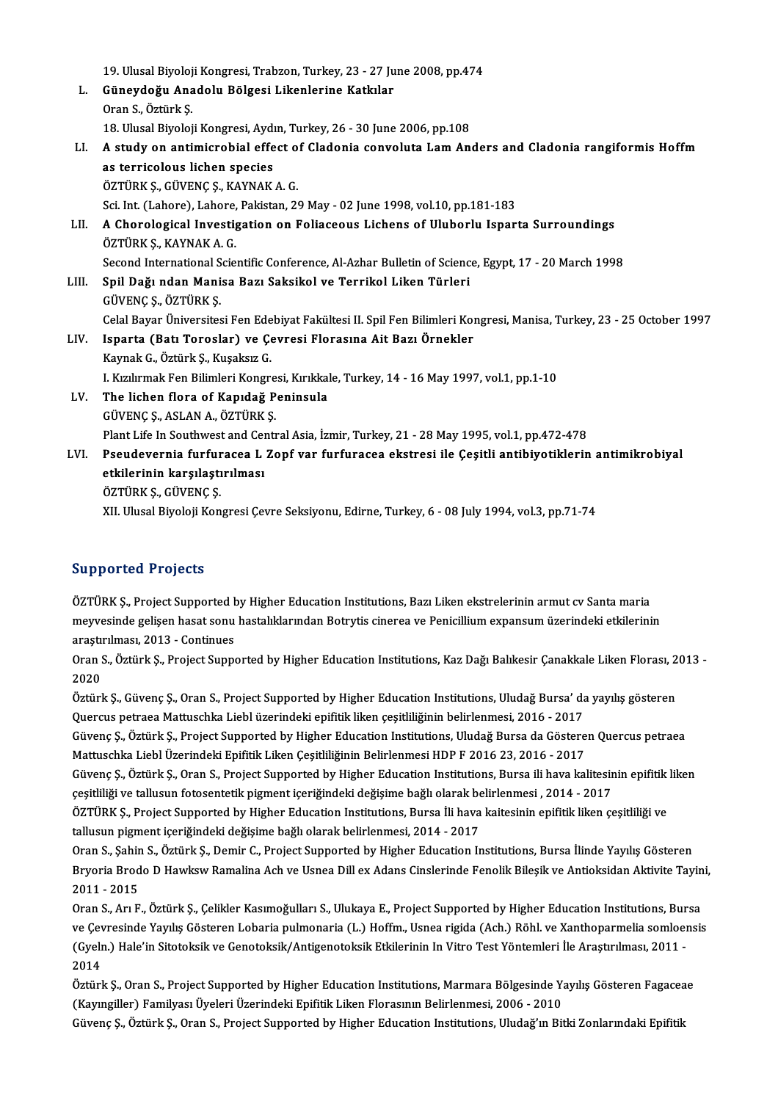|       | 19. Ulusal Biyoloji Kongresi, Trabzon, Turkey, 23 - 27 June 2008, pp.474                                              |
|-------|-----------------------------------------------------------------------------------------------------------------------|
| L.    | Güneydoğu Anadolu Bölgesi Likenlerine Katkılar                                                                        |
|       | Oran S., Öztürk Ş.                                                                                                    |
|       | 18. Ulusal Biyoloji Kongresi, Aydın, Turkey, 26 - 30 June 2006, pp.108                                                |
| LI.   | A study on antimicrobial effect of Cladonia convoluta Lam Anders and Cladonia rangiformis Hoffm                       |
|       | as terricolous lichen species                                                                                         |
|       | ÖZTÜRK Ş., GÜVENÇ Ş., KAYNAK A. G.                                                                                    |
|       | Sci. Int. (Lahore), Lahore, Pakistan, 29 May - 02 June 1998, vol.10, pp.181-183                                       |
| LII.  | A Chorological Investigation on Foliaceous Lichens of Uluborlu Isparta Surroundings                                   |
|       | ÖZTÜRK Ş., KAYNAK A. G.                                                                                               |
|       | Second International Scientific Conference, Al-Azhar Bulletin of Science, Egypt, 17 - 20 March 1998                   |
| LIII. | Spil Dağı ndan Manisa Bazı Saksikol ve Terrikol Liken Türleri                                                         |
|       | GÜVENÇ Ş, ÖZTÜRK Ş                                                                                                    |
|       | Celal Bayar Üniversitesi Fen Edebiyat Fakültesi II. Spil Fen Bilimleri Kongresi, Manisa, Turkey, 23 - 25 October 1997 |
| LIV.  | Isparta (Batı Toroslar) ve Çevresi Florasına Ait Bazı Örnekler                                                        |
|       | Kaynak G., Öztürk Ş., Kuşaksız G.                                                                                     |
|       | I. Kızılırmak Fen Bilimleri Kongresi, Kırıkkale, Turkey, 14 - 16 May 1997, vol.1, pp.1-10                             |
| LV.   | The lichen flora of Kapıdağ Peninsula                                                                                 |
|       | GÜVENÇ Ş., ASLAN A., ÖZTÜRK Ş.                                                                                        |
|       | Plant Life In Southwest and Central Asia, İzmir, Turkey, 21 - 28 May 1995, vol.1, pp.472-478                          |
| LVI.  | Pseudevernia furfuracea L Zopf var furfuracea ekstresi ile Çeşitli antibiyotiklerin antimikrobiyal                    |
|       | etkilerinin karşılaştırılması                                                                                         |
|       | ÖZTÜRK Ş., GÜVENÇ Ş.                                                                                                  |
|       | XII. Ulusal Biyoloji Kongresi Çevre Seksiyonu, Edirne, Turkey, 6 - 08 July 1994, vol.3, pp.71-74                      |

#### Supported Projects

ÖZTÜRK Ş., Project Supported by Higher Education Institutions, Bazı Liken ekstrelerinin armut cv Santa maria Bupp Britsen in Bjeeas<br>ÖZTÜRK Ş., Project Supported by Higher Education Institutions, Bazı Liken ekstrelerinin armut cv Santa maria<br>meyvesinde gelişen hasat sonu hastalıklarından Botrytis cinerea ve Penicillium expansum üz ÖZTÜRK Ş., Project Supported b<br>meyvesinde gelişen hasat sonu<br>araştırılması, 2013 - Continues<br>Oran S., Öztürk S., Project Suppe meyvesinde gelişen hasat sonu hastalıklarından Botrytis cinerea ve Penicillium expansum üzerindeki etkilerinin<br>araştırılması, 2013 - Continues<br>Oran S., Öztürk Ş., Project Supported by Higher Education Institutions, Kaz Dağ

araştıl<br>Oran S<br>2020 Oran S., Öztürk Ş., Project Supported by Higher Education Institutions, Kaz Dağı Balıkesir Çanakkale Liken Florası, 2<br>2020<br>Öztürk Ş., Güvenç Ş., Oran S., Project Supported by Higher Education Institutions, Uludağ Bursa' da

2020<br>Öztürk Ş., Güvenç Ş., Oran S., Project Supported by Higher Education Institutions, Uludağ Bursa' da yayılış gösteren<br>Quercus petraea Mattuschka Liebl üzerindeki epifitik liken çeşitliliğinin belirlenmesi, 2016 - 2017 Öztürk Ş., Güvenç Ş., Oran S., Project Supported by Higher Education Institutions, Uludağ Bursa' da yayılış gösteren<br>Quercus petraea Mattuschka Liebl üzerindeki epifitik liken çeşitliliğinin belirlenmesi, 2016 - 2017<br>Güven

Quercus petraea Mattuschka Liebl üzerindeki epifitik liken çeşitliliğinin belirlenmesi, 2016 - 2017<br>Güvenç Ş., Öztürk Ş., Project Supported by Higher Education Institutions, Uludağ Bursa da Göstere<br>Mattuschka Liebl Üzerind Güvenç Ş., Öztürk Ş., Project Supported by Higher Education Institutions, Uludağ Bursa da Gösteren Quercus petraea<br>Mattuschka Liebl Üzerindeki Epifitik Liken Çeşitliliğinin Belirlenmesi HDP F 2016 23, 2016 - 2017<br>Güvenç Ş.

Mattuschka Liebl Üzerindeki Epifitik Liken Çeşitliliğinin Belirlenmesi HDP F 2016 23, 2016 - 2017<br>Güvenç Ş., Öztürk Ş., Oran S., Project Supported by Higher Education Institutions, Bursa ili hava kalitesir<br>çeşitliliği ve t Güvenç Ş., Öztürk Ş., Oran S., Project Supported by Higher Education Institutions, Bursa ili hava kalitesinin epifitik liken<br>çeşitliliği ve tallusun fotosentetik pigment içeriğindeki değişime bağlı olarak belirlenmesi , 20

çeşitliliği ve tallusun fotosentetik pigment içeriğindeki değişime bağlı olarak be<br>ÖZTÜRK Ş., Project Supported by Higher Education Institutions, Bursa İli hava<br>tallusun pigment içeriğindeki değişime bağlı olarak belirlenm ÖZTÜRK Ş., Project Supported by Higher Education Institutions, Bursa İli hava kaitesinin epifitik liken çeşitliliği ve<br>tallusun pigment içeriğindeki değişime bağlı olarak belirlenmesi, 2014 - 2017<br>Oran S., Şahin S., Öztürk

Bryoria Brodo D Hawksw Ramalina Ach ve Usnea Dill ex Adans Cinslerinde Fenolik Bileşik ve Antioksidan Aktivite Tayini,<br>2011 - 2015 Oran S., Şahir<br>Bryoria Brod<br>2011 - 2015<br>Oran S. Arr E Bryoria Brodo D Hawksw Ramalina Ach ve Usnea Dill ex Adans Cinslerinde Fenolik Bileşik ve Antioksidan Aktivite Tayin<br>2011 - 2015<br>Oran S., Arı F., Öztürk Ş., Çelikler Kasımoğulları S., Ulukaya E., Project Supported by Highe

2011 - 2015<br>Oran S., Arı F., Öztürk Ş., Çelikler Kasımoğulları S., Ulukaya E., Project Supported by Higher Education Institutions, Bursa<br>ve Çevresinde Yayılış Gösteren Lobaria pulmonaria (L.) Hoffm., Usnea rigida (Ach.) Rö Oran S., Arı F., Öztürk Ş., Çelikler Kasımoğulları S., Ulukaya E., Project Supported by Higher Education Institutions, Bur<br>ve Çevresinde Yayılış Gösteren Lobaria pulmonaria (L.) Hoffm., Usnea rigida (Ach.) Röhl. ve Xanthop ve Çevresinde Yayılış Gösteren Lobaria pulmonaria (L.) Hoffm., Usnea rigida (Ach.) Röhl. ve Xanthoparmelia somloensis<br>(Gyeln.) Hale'in Sitotoksik ve Genotoksik/Antigenotoksik Etkilerinin In Vitro Test Yöntemleri İle Araştı (Gyeln.) Hale'in Sitotoksik ve Genotoksik/Antigenotoksik Etkilerinin In Vitro Test Yöntemleri İle Araştırılması, 2011 -<br>2014<br>Öztürk Ş., Oran S., Project Supported by Higher Education Institutions, Marmara Bölgesinde Yayılı

2014<br>Öztürk Ş., Oran S., Project Supported by Higher Education Institutions, Marmara Bölgesinde Ya<br>(Kayıngiller) Familyası Üyeleri Üzerindeki Epifitik Liken Florasının Belirlenmesi, 2006 - 2010<br>Güyene S., Örtürk S., Oran S Öztürk Ş., Oran S., Project Supported by Higher Education Institutions, Marmara Bölgesinde Yayılış Gösteren Fagacea<br>(Kayıngiller) Familyası Üyeleri Üzerindeki Epifitik Liken Florasının Belirlenmesi, 2006 - 2010<br>Güvenç Ş.,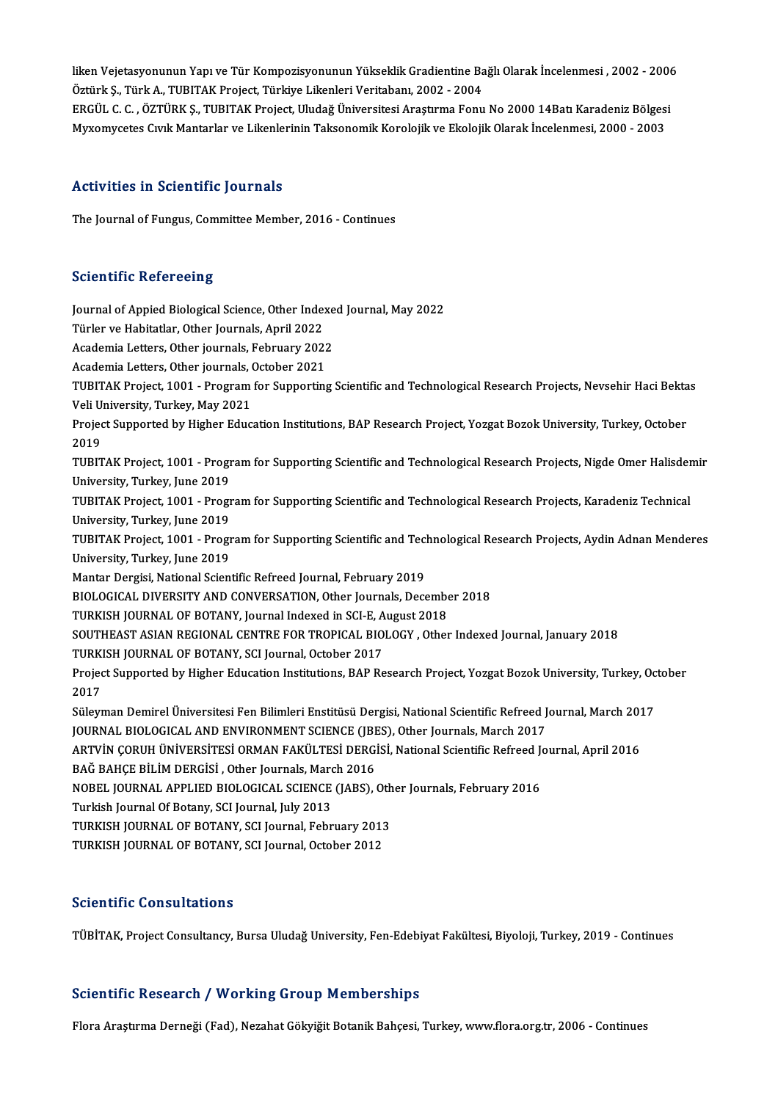liken Vejetasyonunun Yapı ve Tür Kompozisyonunun Yükseklik Gradientine Bağlı Olarak İncelenmesi , 2002 - 2006<br>Östürk S. Türk A. TURITAK Project, Türkiye Likenleri Veritaben: 2002 - 2004 liken Vejetasyonunun Yapı ve Tür Kompozisyonunun Yükseklik Gradientine Ba<br>Öztürk Ş., Türk A., TUBITAK Project, Türkiye Likenleri Veritabanı, 2002 - 2004<br>FRCÜL G. G. ÖZTÜRK S. TURITAK Project, Uludeğ Üniversitesi Arastrıma liken Vejetasyonunun Yapı ve Tür Kompozisyonunun Yükseklik Gradientine Bağlı Olarak İncelenmesi , 2002 - 2006<br>Öztürk Ş., Türk A., TUBITAK Project, Türkiye Likenleri Veritabanı, 2002 - 2004<br>ERGÜL C. C. , ÖZTÜRK Ş., TUBITAK Öztürk Ş., Türk A., TUBITAK Project, Türkiye Likenleri Veritabanı, 2002 - 2004<br>ERGÜL C. C. , ÖZTÜRK Ş., TUBITAK Project, Uludağ Üniversitesi Araştırma Fonu No 2000 14Batı Karadeniz Bölgesi<br>Myxomycetes Cıvık Mantarlar ve Li

#### Activities in Scientific Journals

The Journal of Fungus, Committee Member, 2016 - Continues

#### **Scientific Refereeing**

Scientific Refereeing<br>Journal of Appied Biological Science, Other Indexed Journal, May 2022<br>Türker ve Hebitatlar, Other Journals, April 2022 Türler verbreichnig<br>Journal of Appied Biological Science, Other Inde:<br>Türler ve Habitatlar, Other Journals, April 2022<br>Academia Letters, Other journals, February, 202 Journal of Appied Biological Science, Other Indexe<br>Türler ve Habitatlar, Other Journals, April 2022<br>Academia Letters, Other journals, February 2022<br>Academia Letters, Other journals, October 2021 Türler ve Habitatlar, Other Journals, April 2022<br>Academia Letters, Other journals, February 2022<br>Academia Letters. Other journals. October 2021 Academia Letters, Other journals, February 2022<br>Academia Letters, Other journals, October 2021<br>TUBITAK Project, 1001 - Program for Supporting Scientific and Technological Research Projects, Nevsehir Haci Bektas<br>Veli Univer Academia Letters, Other journals, O<br>TUBITAK Project, 1001 - Program<br>Veli University, Turkey, May 2021<br>Project Sunnerted by Higher Educ TUBITAK Project, 1001 - Program for Supporting Scientific and Technological Research Projects, Nevsehir Haci Bekta<br>Veli University, Turkey, May 2021<br>Project Supported by Higher Education Institutions, BAP Research Project, Veli University, Turkey, May 2021<br>Project Supported by Higher Education Institutions, BAP Research Project, Yozgat Bozok University, Turkey, October<br>2019 Project Supported by Higher Education Institutions, BAP Research Project, Yozgat Bozok University, Turkey, October<br>2019<br>TUBITAK Project, 1001 - Program for Supporting Scientific and Technological Research Projects, Nigde O 2019<br>TUBITAK Project, 1001 - Progr<br>University, Turkey, June 2019<br>TUBITAK Project, 1001 - Progr TUBITAK Project, 1001 - Program for Supporting Scientific and Technological Research Projects, Nigde Omer Halisder<br>University, Turkey, June 2019<br>TUBITAK Project, 1001 - Program for Supporting Scientific and Technological R University, Turkey, June 2019<br>TUBITAK Project, 1001 - Progr<br>University, Turkey, June 2019<br>TUBITAK Project, 1001 - Progr TUBITAK Project, 1001 - Program for Supporting Scientific and Technological Research Projects, Karadeniz Technical<br>University, Turkey, June 2019<br>TUBITAK Project, 1001 - Program for Supporting Scientific and Technological R University, Turkey, June 2019<br>TUBITAK Project, 1001 - Program for Supporting Scientific and Technological Research Projects, Aydin Adnan Menderes<br>University, Turkey, June 2019 Mantar Dergisi, National Scientific Refreed Journal, February 2019 University, Turkey, June 2019<br>Mantar Dergisi, National Scientific Refreed Journal, February 2019<br>BIOLOGICAL DIVERSITY AND CONVERSATION, Other Journals, December 2018<br>TURKISH JOURNAL OF ROTANY, Journal Indoved in SCLE, Augu Mantar Dergisi, National Scientific Refreed Journal, February 2019<br>BIOLOGICAL DIVERSITY AND CONVERSATION, Other Journals, December<br>TURKISH JOURNAL OF BOTANY, Journal Indexed in SCI-E, August 2018<br>SOUTHEAST ASIAN REGIONAL C SOUTHEAST ASIAN REGIONAL CENTRE FOR TROPICAL BIOLOGY , Other Indexed Journal, January 2018<br>TURKISH JOURNAL OF BOTANY, SCI Journal, October 2017 TURKISH JOURNAL OF BOTANY, Journal Indexed in SCI-E, August 2018 SOUTHEAST ASIAN REGIONAL CENTRE FOR TROPICAL BIOLOGY , Other Indexed Journal, January 2018<br>TURKISH JOURNAL OF BOTANY, SCI Journal, October 2017<br>Project Supported by Higher Education Institutions, BAP Research Project, Yozg TURK<br>Projec<br>2017<br>Söler Project Supported by Higher Education Institutions, BAP Research Project, Yozgat Bozok University, Turkey, Oc<br>2017<br>Süleyman Demirel Üniversitesi Fen Bilimleri Enstitüsü Dergisi, National Scientific Refreed Journal, March 2 2017<br>Süleyman Demirel Üniversitesi Fen Bilimleri Enstitüsü Dergisi, National Scientific Refreed Journal, March 2017<br>JOURNAL BIOLOGICAL AND ENVIRONMENT SCIENCE (JBES), Other Journals, March 2017 Süleyman Demirel Üniversitesi Fen Bilimleri Enstitüsü Dergisi, National Scientific Refreed Journal, March 201<br>JOURNAL BIOLOGICAL AND ENVIRONMENT SCIENCE (JBES), Other Journals, March 2017<br>ARTVİN ÇORUH ÜNİVERSİTESİ ORMAN FA JOURNAL BIOLOGICAL AND ENVIRONMENT SCIENCE (JBF<br>ARTVİN ÇORUH ÜNİVERSİTESİ ORMAN FAKÜLTESİ DERGİ<br>BAĞ BAHÇE BİLİM DERGİSİ , Other Journals, March 2016<br>NOREL JOURNAL ARRI IED RIOLOGICAL SCIENCE (JARS) ARTVİN ÇORUH ÜNİVERSİTESİ ORMAN FAKÜLTESİ DERGİSİ, National Scientific Refreed J<br>BAĞ BAHÇE BİLİM DERGİSİ , Other Journals, March 2016<br>NOBEL JOURNAL APPLIED BIOLOGICAL SCIENCE (JABS), Other Journals, February 2016<br>Turkish J BAĞ BAHÇE BİLİM DERGİSİ , Other Journals, March 2016<br>NOBEL JOURNAL APPLIED BIOLOGICAL SCIENCE (JABS), Oth<br>Turkish Journal Of Botany, SCI Journal, July 2013<br>TURKISH JOURNAL OF BOTANY, SCI Journal, February 2013 NOBEL JOURNAL APPLIED BIOLOGICAL SCIENCE (JABS), Other Journals, February 2016 TURKISH JOURNAL OF BOTANY, SCI Journal, October 2012

#### Scientific Consultations

TÜBİTAK, Project Consultancy, Bursa Uludağ University, Fen-Edebiyat Fakültesi, Biyoloji, Turkey, 2019 - Continues

#### Scientific Research / Working Group Memberships

Flora Araştırma Derneği (Fad), Nezahat Gökyiğit Botanik Bahçesi, Turkey, www.flora.org.tr, 2006 - Continues